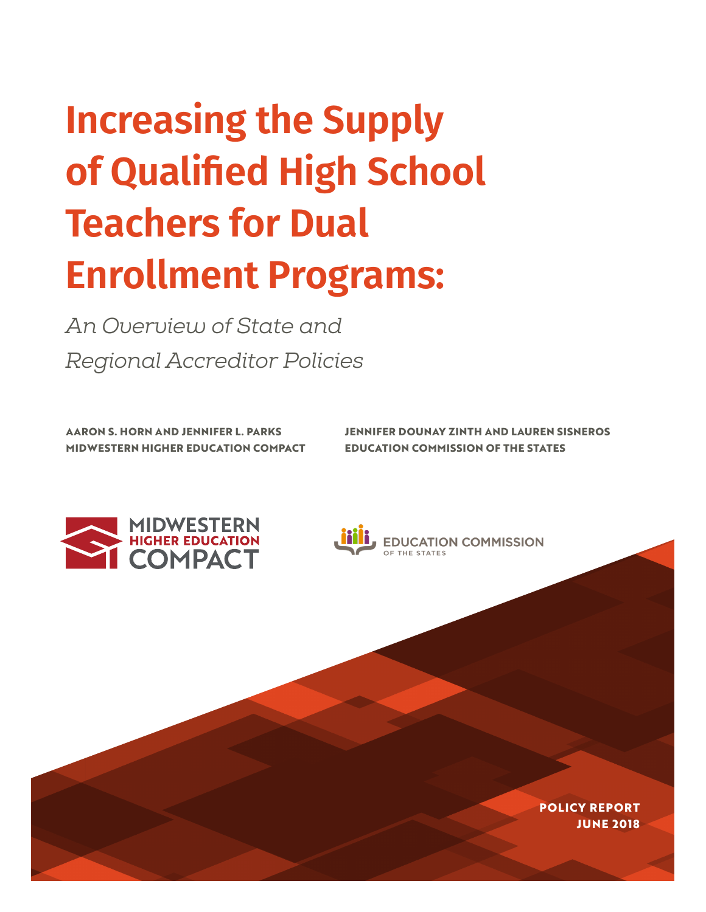# **Increasing the Supply of Qualified High School Teachers for Dual Enrollment Programs:**

*An Overview of State and Regional Accreditor Policies* 

**MIDWESTERN HIGHER EDUCATION COMPACT EDUCATION COMMISSION OF THE STATES**

**AARON S. HORN AND JENNIFER L. PARKS JENNIFER DOUNAY ZINTH AND LAUREN SISNEROS**





**EDUCATION COMMISSION** 

**POLICY REPORT JUNE 2018**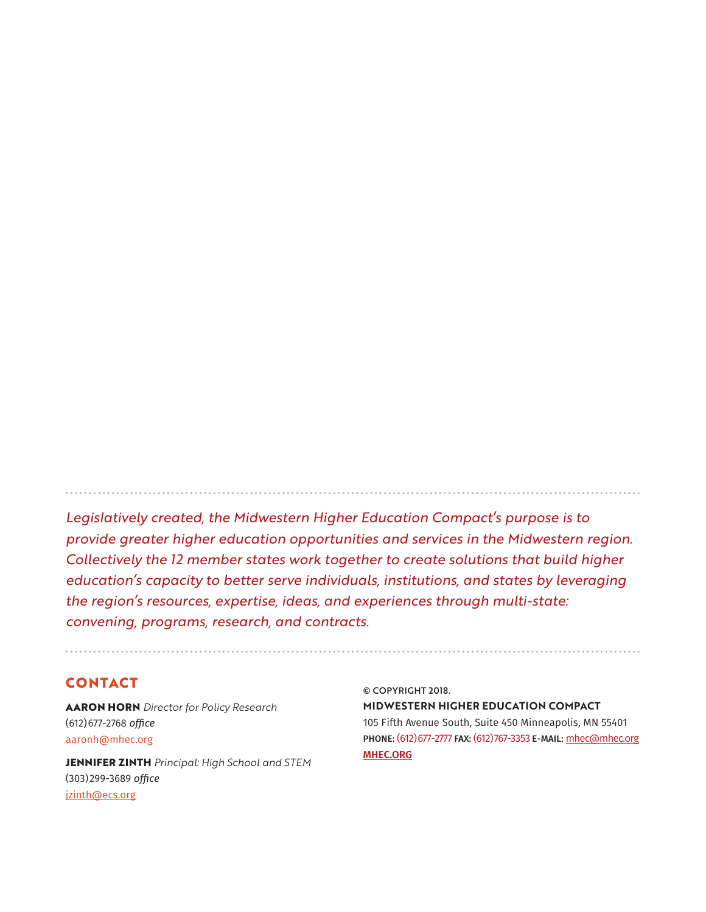*Legislatively created, the Midwestern Higher Education Compact's purpose is to provide greater higher education opportunities and services in the Midwestern region. Collectively the 12 member states work together to create solutions that build higher education's capacity to better serve individuals, institutions, and states by leveraging the region's resources, expertise, ideas, and experiences through multi-state: convening, programs, research, and contracts.*

## **CONTACT**

**AARON HORN** *Director for Policy Research* (612)677-2768 *office* aaronh[@mhec.org](mailto:aaronh%40mhec.org?subject=)

**JENNIFER ZINTH** *Principal: High School and STEM* (303)299-3689 *office* [jzinth@ecs.org](mailto:jzinth%40ecs.org?subject=)

© COPYRIGHT 2018. **MIDWESTERN HIGHER EDUCATION COMPACT** 105 Fifth Avenue South, Suite 450 Minneapolis, MN 55401 PHONE: (612) 677-2777 FAX: (612) 767-3353 E-MAIL: [mhec@mhec.org](mailto:mhec%40mhec.org?subject=) **[MHEC.ORG](http://MHEC.ORG)**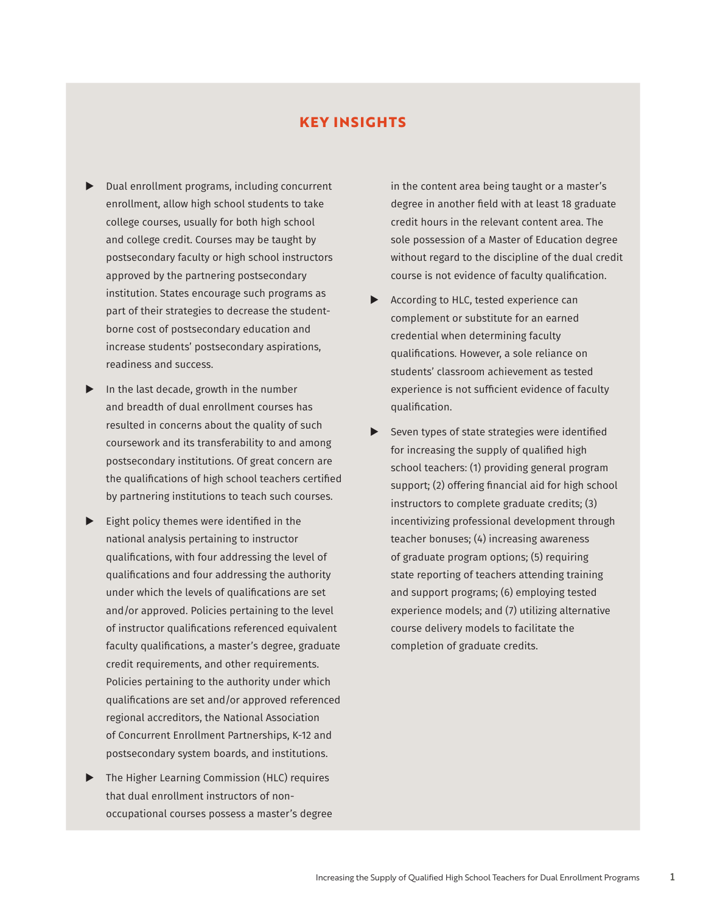## **KEY INSIGHTS**

- $\blacktriangleright$  Dual enrollment programs, including concurrent enrollment, allow high school students to take college courses, usually for both high school and college credit. Courses may be taught by postsecondary faculty or high school instructors approved by the partnering postsecondary institution. States encourage such programs as part of their strategies to decrease the studentborne cost of postsecondary education and increase students' postsecondary aspirations, readiness and success.
- $\blacktriangleright$  In the last decade, growth in the number and breadth of dual enrollment courses has resulted in concerns about the quality of such coursework and its transferability to and among postsecondary institutions. Of great concern are the qualifications of high school teachers certified by partnering institutions to teach such courses.
- $\blacktriangleright$  Eight policy themes were identified in the national analysis pertaining to instructor qualifications, with four addressing the level of qualifications and four addressing the authority under which the levels of qualifications are set and/or approved. Policies pertaining to the level of instructor qualifications referenced equivalent faculty qualifications, a master's degree, graduate credit requirements, and other requirements. Policies pertaining to the authority under which qualifications are set and/or approved referenced regional accreditors, the National Association of Concurrent Enrollment Partnerships, K-12 and postsecondary system boards, and institutions.
- $\blacktriangleright$  The Higher Learning Commission (HLC) requires that dual enrollment instructors of nonoccupational courses possess a master's degree

in the content area being taught or a master's degree in another field with at least 18 graduate credit hours in the relevant content area. The sole possession of a Master of Education degree without regard to the discipline of the dual credit course is not evidence of faculty qualification.

- $\blacktriangleright$  According to HLC, tested experience can complement or substitute for an earned credential when determining faculty qualifications. However, a sole reliance on students' classroom achievement as tested experience is not sufficient evidence of faculty qualification.
- $\blacktriangleright$  Seven types of state strategies were identified for increasing the supply of qualified high school teachers: (1) providing general program support; (2) offering financial aid for high school instructors to complete graduate credits; (3) incentivizing professional development through teacher bonuses; (4) increasing awareness of graduate program options; (5) requiring state reporting of teachers attending training and support programs; (6) employing tested experience models; and (7) utilizing alternative course delivery models to facilitate the completion of graduate credits.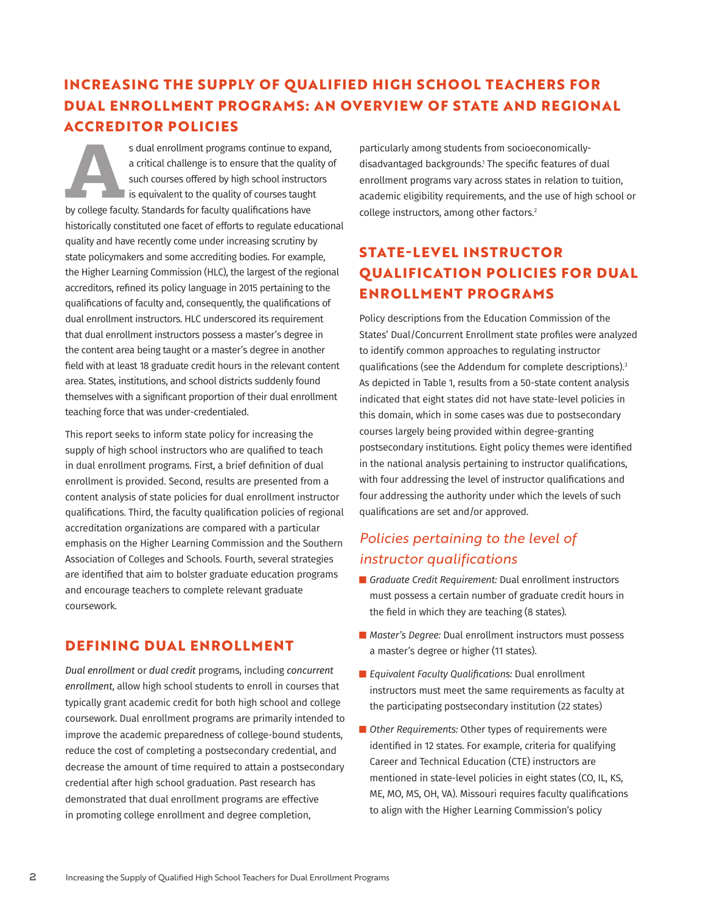# **INCREASING THE SUPPLY OF QUALIFIED HIGH SCHOOL TEACHERS FOR DUAL ENROLLMENT PROGRAMS: AN OVERVIEW OF STATE AND REGIONAL ACCREDITOR POLICIES**

**As dual enrollment programs continue to expand,** a critical challenge is to ensure that the quality of such courses offered by high school instructors is equivalent to the quality of courses taught by college faculty. Sta a critical challenge is to ensure that the quality of such courses offered by high school instructors  $\blacksquare$  is equivalent to the quality of courses taught historically constituted one facet of efforts to regulate educational quality and have recently come under increasing scrutiny by state policymakers and some accrediting bodies. For example, the Higher Learning Commission (HLC), the largest of the regional accreditors, refined its policy language in 2015 pertaining to the qualifications of faculty and, consequently, the qualifications of dual enrollment instructors. HLC underscored its requirement that dual enrollment instructors possess a master's degree in the content area being taught or a master's degree in another field with at least 18 graduate credit hours in the relevant content area. States, institutions, and school districts suddenly found themselves with a significant proportion of their dual enrollment teaching force that was under-credentialed.

This report seeks to inform state policy for increasing the supply of high school instructors who are qualified to teach in dual enrollment programs. First, a brief definition of dual enrollment is provided. Second, results are presented from a content analysis of state policies for dual enrollment instructor qualifications. Third, the faculty qualification policies of regional accreditation organizations are compared with a particular emphasis on the Higher Learning Commission and the Southern Association of Colleges and Schools. Fourth, several strategies are identified that aim to bolster graduate education programs and encourage teachers to complete relevant graduate coursework.

## **DEFINING DUAL ENROLLMENT**

*Dual enrollment* or *dual credit* programs, including *concurrent enrollment*, allow high school students to enroll in courses that typically grant academic credit for both high school and college coursework. Dual enrollment programs are primarily intended to improve the academic preparedness of college-bound students, reduce the cost of completing a postsecondary credential, and decrease the amount of time required to attain a postsecondary credential after high school graduation. Past research has demonstrated that dual enrollment programs are effective in promoting college enrollment and degree completion,

particularly among students from socioeconomicallydisadvantaged backgrounds.1 The specific features of dual enrollment programs vary across states in relation to tuition, academic eligibility requirements, and the use of high school or college instructors, among other factors.<sup>2</sup>

# **STATE-LEVEL INSTRUCTOR QUALIFICATION POLICIES FOR DUAL ENROLLMENT PROGRAMS**

Policy descriptions from the Education Commission of the States' Dual/Concurrent Enrollment state profiles were analyzed to identify common approaches to regulating instructor qualifications (see the Addendum for complete descriptions).3 As depicted in Table 1, results from a 50-state content analysis indicated that eight states did not have state-level policies in this domain, which in some cases was due to postsecondary courses largely being provided within degree-granting postsecondary institutions. Eight policy themes were identified in the national analysis pertaining to instructor qualifications, with four addressing the level of instructor qualifications and four addressing the authority under which the levels of such qualifications are set and/or approved.

# *Policies pertaining to the level of instructor qualifications*

- *Graduate Credit Requirement: Dual enrollment instructors* must possess a certain number of graduate credit hours in the field in which they are teaching (8 states).
- *Master's Degree:* Dual enrollment instructors must possess a master's degree or higher (11 states).
- **Example 2** Equivalent Faculty Qualifications: Dual enrollment instructors must meet the same requirements as faculty at the participating postsecondary institution (22 states)
- Other Requirements: Other types of requirements were identified in 12 states. For example, criteria for qualifying Career and Technical Education (CTE) instructors are mentioned in state-level policies in eight states (CO, IL, KS, ME, MO, MS, OH, VA). Missouri requires faculty qualifications to align with the Higher Learning Commission's policy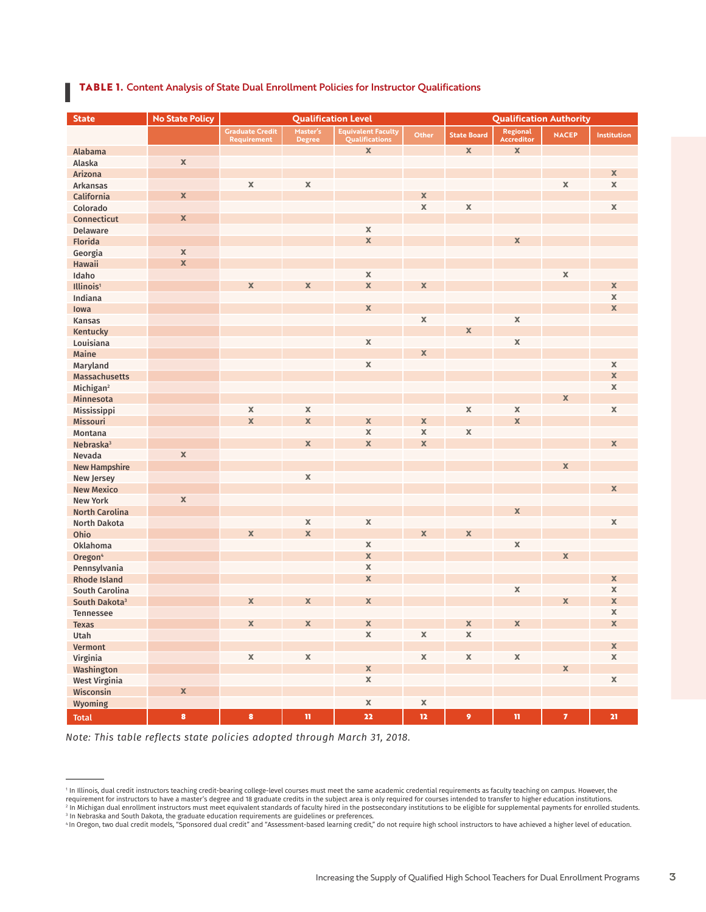#### **I TABLE 1.** Content Analysis of State Dual Enrollment Policies for Instructor Qualifications

| <b>State</b>              | <b>No State Policy</b> | <b>Qualification Level</b> |               |                               | <b>Qualification Authority</b> |                    |                                  |                |             |
|---------------------------|------------------------|----------------------------|---------------|-------------------------------|--------------------------------|--------------------|----------------------------------|----------------|-------------|
|                           |                        | <b>Graduate Credit</b>     | Master's      | <b>Equivalent Faculty</b>     | Other                          | <b>State Board</b> | Regional                         | <b>NACEP</b>   | Institution |
|                           |                        | Requirement                | <b>Degree</b> | Qualifications<br>$\mathbf x$ |                                | $\mathbf{x}$       | <b>Accreditor</b><br>$\mathbf x$ |                |             |
| Alabama                   | $\mathbb X$            |                            |               |                               |                                |                    |                                  |                |             |
| Alaska                    |                        |                            |               |                               |                                |                    |                                  |                |             |
| Arizona                   |                        |                            | $\mathbb X$   |                               |                                |                    |                                  |                | $\mathbf x$ |
| <b>Arkansas</b>           |                        | $\mathbb X$                |               |                               |                                |                    |                                  | $\mathbb X$    | $\mathbb X$ |
| California                | $\mathbf x$            |                            |               |                               | $\mathbf x$                    |                    |                                  |                |             |
| Colorado                  |                        |                            |               |                               | $\mathbf x$                    | $\mathbb X$        |                                  |                | $\mathbb X$ |
| Connecticut               | $\mathbf x$            |                            |               |                               |                                |                    |                                  |                |             |
| <b>Delaware</b>           |                        |                            |               | $\mathbb X$                   |                                |                    |                                  |                |             |
| <b>Florida</b>            |                        |                            |               | $\mathbf x$                   |                                |                    | $\mathbf x$                      |                |             |
| Georgia                   | $\mathbb X$            |                            |               |                               |                                |                    |                                  |                |             |
| Hawaii                    | $\mathbf x$            |                            |               |                               |                                |                    |                                  |                |             |
| Idaho                     |                        |                            |               | $\mathbb X$                   |                                |                    |                                  | $\mathbb X$    |             |
| Illinois <sup>1</sup>     |                        | $\mathbb X$                | $\mathbb X$   | $\mathbf x$                   | $\mathbf x$                    |                    |                                  |                | $\mathbb X$ |
| Indiana                   |                        |                            |               |                               |                                |                    |                                  |                | $\mathbb X$ |
| lowa                      |                        |                            |               | $\mathbf x$                   |                                |                    |                                  |                | $\mathbb X$ |
| <b>Kansas</b>             |                        |                            |               |                               | $\mathbf x$                    |                    | $\mathbb X$                      |                |             |
| Kentucky                  |                        |                            |               |                               |                                | X                  |                                  |                |             |
| Louisiana                 |                        |                            |               | $\mathbf x$                   |                                |                    | $\mathbb X$                      |                |             |
| Maine                     |                        |                            |               |                               | $\mathbf x$                    |                    |                                  |                |             |
| Maryland                  |                        |                            |               | $\mathbb X$                   |                                |                    |                                  |                | $\mathbb X$ |
| Massachusetts             |                        |                            |               |                               |                                |                    |                                  |                | $\mathbb X$ |
| Michigan <sup>2</sup>     |                        |                            |               |                               |                                |                    |                                  |                | $\mathbb X$ |
| Minnesota                 |                        |                            |               |                               |                                |                    |                                  | $\mathbf x$    |             |
| Mississippi               |                        | $\mathbb X$                | $\mathbb X$   |                               |                                | $\mathbf x$        | $\mathbb X$                      |                | $\mathbb X$ |
| Missouri                  |                        | $\mathbf x$                | $\mathbf x$   | $\mathbf x$                   | $\mathbf X$                    |                    | $\mathbf x$                      |                |             |
| Montana                   |                        |                            |               | $\mathbb X$                   | $\mathbb X$                    | $\mathbf x$        |                                  |                |             |
| Nebraska <sup>3</sup>     |                        |                            | $\mathbf x$   | $\mathbf x$                   | $\mathbf x$                    |                    |                                  |                | $\mathbf x$ |
| Nevada                    | $\mathbb X$            |                            |               |                               |                                |                    |                                  |                |             |
| <b>New Hampshire</b>      |                        |                            |               |                               |                                |                    |                                  | $\mathbf x$    |             |
| New Jersey                |                        |                            | $\mathbb X$   |                               |                                |                    |                                  |                |             |
| <b>New Mexico</b>         |                        |                            |               |                               |                                |                    |                                  |                | $\mathbf x$ |
| <b>New York</b>           | $\mathbb X$            |                            |               |                               |                                |                    |                                  |                |             |
| <b>North Carolina</b>     |                        |                            |               |                               |                                |                    | $\mathbf x$                      |                |             |
| North Dakota              |                        |                            | $\mathbb X$   | $\mathbf x$                   |                                |                    |                                  |                | $\mathbb X$ |
| Ohio                      |                        | $\mathbf x$                | $\mathbf x$   |                               | $\mathbf x$                    | $\mathbf x$        |                                  |                |             |
| Oklahoma                  |                        |                            |               | $\mathbb X$                   |                                |                    | $\mathbb X$                      |                |             |
| Oregon <sup>4</sup>       |                        |                            |               | $\mathbf x$                   |                                |                    |                                  | $\mathbf x$    |             |
| Pennsylvania              |                        |                            |               | $\mathbb X$                   |                                |                    |                                  |                |             |
| <b>Rhode Island</b>       |                        |                            |               | $\mathbf x$                   |                                |                    |                                  |                | $\mathbf x$ |
| South Carolina            |                        |                            |               |                               |                                |                    | $\mathbb X$                      |                | $\mathbb X$ |
| South Dakota <sup>3</sup> |                        | $\mathbf x$                | $\mathbf x$   | $\mathbf x$                   |                                |                    |                                  | $\mathbf x$    | $\mathbb X$ |
| <b>Tennessee</b>          |                        |                            |               |                               |                                |                    |                                  |                | $\mathbb X$ |
| Texas                     |                        | $\mathbf x$                | $\mathbf x$   | X                             |                                | $\mathbf{x}$       | $\mathbf x$                      |                | X           |
| Utah                      |                        |                            |               | $\mathsf X$                   | $\mathbb X$                    | $\mathbb X$        |                                  |                |             |
| Vermont                   |                        |                            |               |                               |                                |                    |                                  |                | $\mathbb X$ |
| Virginia                  |                        | $\mathbb X$                | $\mathbb X$   |                               | $\mathbf X$                    | $\mathbb X$        | $\mathbb X$                      |                | $\mathbb X$ |
| Washington                |                        |                            |               | $\mathbf x$                   |                                |                    |                                  | $\mathbf x$    |             |
| <b>West Virginia</b>      |                        |                            |               | $\mathbb X$                   |                                |                    |                                  |                | $\mathbb X$ |
| Wisconsin                 | $\mathbf x$            |                            |               |                               |                                |                    |                                  |                |             |
| Wyoming                   |                        |                            |               | $\mathbb X$                   | $\mathbb X$                    |                    |                                  |                |             |
| <b>Total</b>              | $\pmb{8}$              | $\pmb{8}$                  | $\mathbf n$   | $\bf{22}$                     | $\bf 12$                       | $\overline{9}$     | $\mathbf n$                      | $\overline{I}$ | ${\bf 21}$  |

*Note: This table reflects state policies adopted through March 31, 2018.*

<sup>1</sup> In Illinois, dual credit instructors teaching credit-bearing college-level courses must meet the same academic credential requirements as faculty teaching on campus. However, the requirement for instructors to have a master's degree and 18 graduate credits in the subject area is only required for courses intended to transfer to higher education institutions.<br><sup>2</sup> In Michigan dual enrollment instruct

<sup>&</sup>lt;sup>3</sup> In Nebraska and South Dakota, the graduate education requirements are guidelines or preferences.<br>"In Oregon, two dual credit models, "Sponsored dual credit" and "Assessment-based learning credit," do not require high s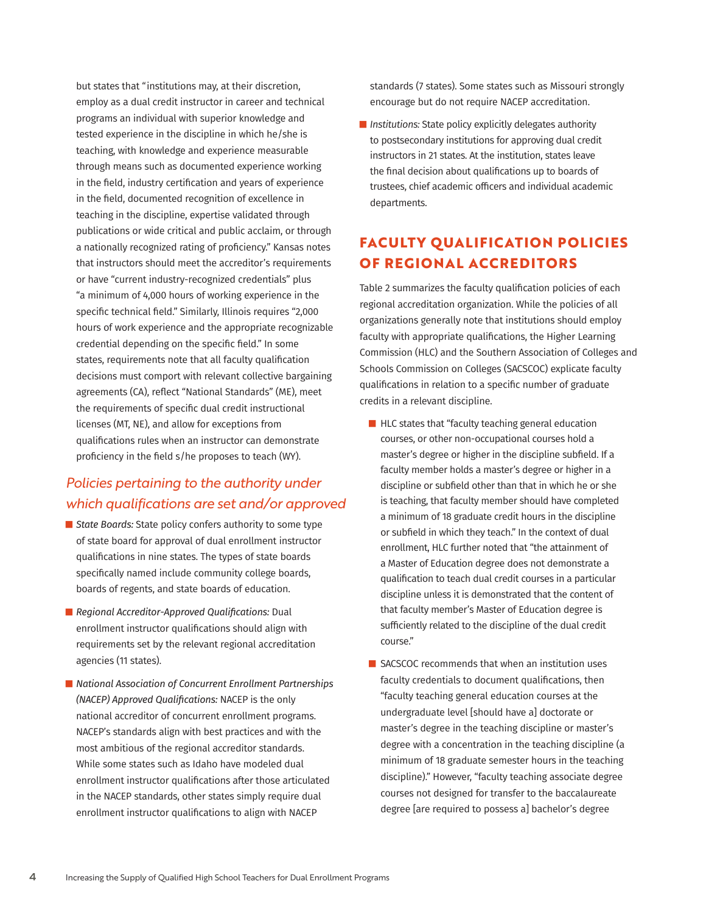but states that "institutions may, at their discretion, employ as a dual credit instructor in career and technical programs an individual with superior knowledge and tested experience in the discipline in which he/she is teaching, with knowledge and experience measurable through means such as documented experience working in the field, industry certification and years of experience in the field, documented recognition of excellence in teaching in the discipline, expertise validated through publications or wide critical and public acclaim, or through a nationally recognized rating of proficiency." Kansas notes that instructors should meet the accreditor's requirements or have "current industry-recognized credentials" plus "a minimum of 4,000 hours of working experience in the specific technical field." Similarly, Illinois requires "2,000 hours of work experience and the appropriate recognizable credential depending on the specific field." In some states, requirements note that all faculty qualification decisions must comport with relevant collective bargaining agreements (CA), reflect "National Standards" (ME), meet the requirements of specific dual credit instructional licenses (MT, NE), and allow for exceptions from qualifications rules when an instructor can demonstrate proficiency in the field s/he proposes to teach (WY).

## *Policies pertaining to the authority under which qualifications are set and/or approved*

- *State Boards: State policy confers authority to some type* of state board for approval of dual enrollment instructor qualifications in nine states. The types of state boards specifically named include community college boards, boards of regents, and state boards of education.
- **Regional Accreditor-Approved Qualifications: Dual** enrollment instructor qualifications should align with requirements set by the relevant regional accreditation agencies (11 states).
- *National Association of Concurrent Enrollment Partnerships (NACEP) Approved Qualifications:* NACEP is the only national accreditor of concurrent enrollment programs. NACEP's standards align with best practices and with the most ambitious of the regional accreditor standards. While some states such as Idaho have modeled dual enrollment instructor qualifications after those articulated in the NACEP standards, other states simply require dual enrollment instructor qualifications to align with NACEP

standards (7 states). Some states such as Missouri strongly encourage but do not require NACEP accreditation.

**I** Institutions: State policy explicitly delegates authority to postsecondary institutions for approving dual credit instructors in 21 states. At the institution, states leave the final decision about qualifications up to boards of trustees, chief academic officers and individual academic departments.

# **FACULTY QUALIFICATION POLICIES OF REGIONAL ACCREDITORS**

Table 2 summarizes the faculty qualification policies of each regional accreditation organization. While the policies of all organizations generally note that institutions should employ faculty with appropriate qualifications, the Higher Learning Commission (HLC) and the Southern Association of Colleges and Schools Commission on Colleges (SACSCOC) explicate faculty qualifications in relation to a specific number of graduate credits in a relevant discipline.

- $\blacksquare$  HLC states that "faculty teaching general education courses, or other non-occupational courses hold a master's degree or higher in the discipline subfield. If a faculty member holds a master's degree or higher in a discipline or subfield other than that in which he or she is teaching, that faculty member should have completed a minimum of 18 graduate credit hours in the discipline or subfield in which they teach." In the context of dual enrollment, HLC further noted that "the attainment of a Master of Education degree does not demonstrate a qualification to teach dual credit courses in a particular discipline unless it is demonstrated that the content of that faculty member's Master of Education degree is sufficiently related to the discipline of the dual credit course."
- $\blacksquare$  SACSCOC recommends that when an institution uses faculty credentials to document qualifications, then "faculty teaching general education courses at the undergraduate level [should have a] doctorate or master's degree in the teaching discipline or master's degree with a concentration in the teaching discipline (a minimum of 18 graduate semester hours in the teaching discipline)." However, "faculty teaching associate degree courses not designed for transfer to the baccalaureate degree [are required to possess a] bachelor's degree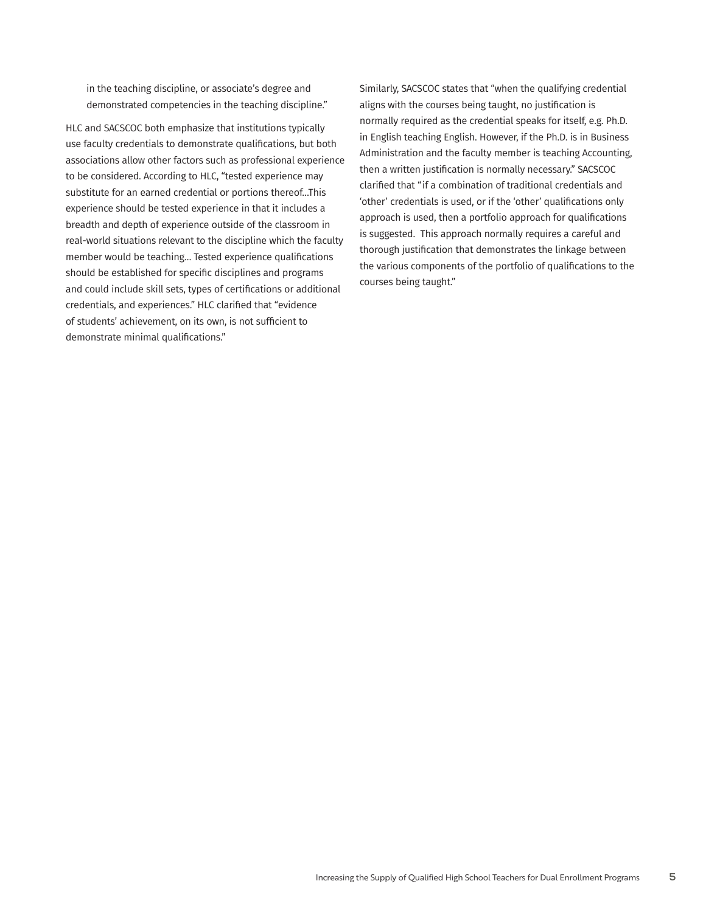in the teaching discipline, or associate's degree and demonstrated competencies in the teaching discipline."

HLC and SACSCOC both emphasize that institutions typically use faculty credentials to demonstrate qualifications, but both associations allow other factors such as professional experience to be considered. According to HLC, "tested experience may substitute for an earned credential or portions thereof…This experience should be tested experience in that it includes a breadth and depth of experience outside of the classroom in real-world situations relevant to the discipline which the faculty member would be teaching… Tested experience qualifications should be established for specific disciplines and programs and could include skill sets, types of certifications or additional credentials, and experiences." HLC clarified that "evidence of students' achievement, on its own, is not sufficient to demonstrate minimal qualifications."

Similarly, SACSCOC states that "when the qualifying credential aligns with the courses being taught, no justification is normally required as the credential speaks for itself, e.g. Ph.D. in English teaching English. However, if the Ph.D. is in Business Administration and the faculty member is teaching Accounting, then a written justification is normally necessary." SACSCOC clarified that "if a combination of traditional credentials and 'other' credentials is used, or if the 'other' qualifications only approach is used, then a portfolio approach for qualifications is suggested. This approach normally requires a careful and thorough justification that demonstrates the linkage between the various components of the portfolio of qualifications to the courses being taught."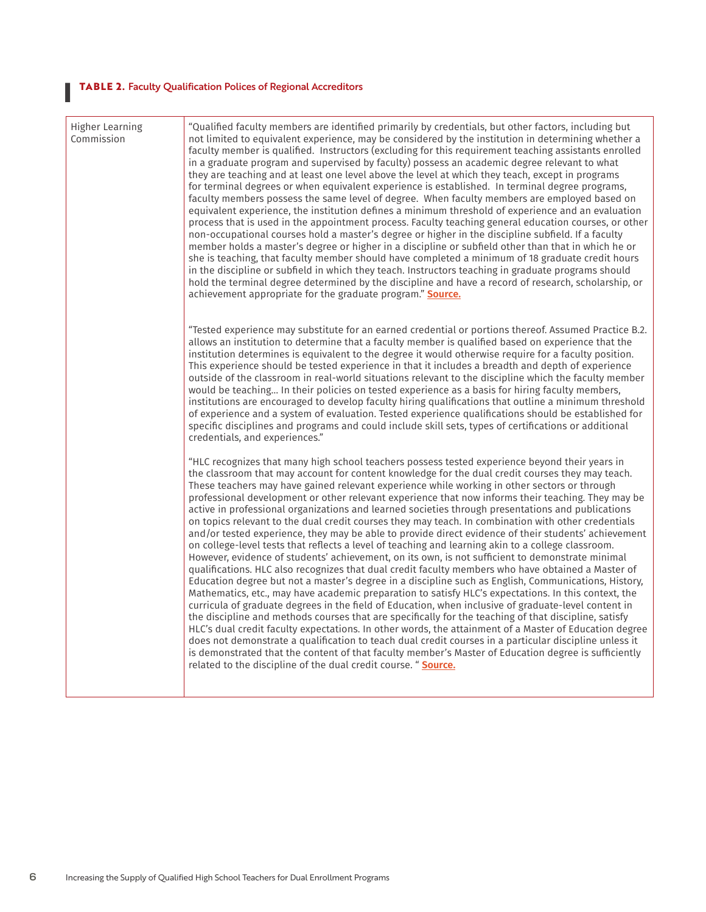## **I TABLE 2.** Faculty Qualification Polices of Regional Accreditors

| <b>Higher Learning</b><br>Commission | "Qualified faculty members are identified primarily by credentials, but other factors, including but<br>not limited to equivalent experience, may be considered by the institution in determining whether a<br>faculty member is qualified. Instructors (excluding for this requirement teaching assistants enrolled<br>in a graduate program and supervised by faculty) possess an academic degree relevant to what<br>they are teaching and at least one level above the level at which they teach, except in programs<br>for terminal degrees or when equivalent experience is established. In terminal degree programs,<br>faculty members possess the same level of degree. When faculty members are employed based on<br>equivalent experience, the institution defines a minimum threshold of experience and an evaluation<br>process that is used in the appointment process. Faculty teaching general education courses, or other<br>non-occupational courses hold a master's degree or higher in the discipline subfield. If a faculty<br>member holds a master's degree or higher in a discipline or subfield other than that in which he or<br>she is teaching, that faculty member should have completed a minimum of 18 graduate credit hours<br>in the discipline or subfield in which they teach. Instructors teaching in graduate programs should<br>hold the terminal degree determined by the discipline and have a record of research, scholarship, or<br>achievement appropriate for the graduate program." Source.                                                                                                                                                                                                                                                                                                                                    |
|--------------------------------------|-----------------------------------------------------------------------------------------------------------------------------------------------------------------------------------------------------------------------------------------------------------------------------------------------------------------------------------------------------------------------------------------------------------------------------------------------------------------------------------------------------------------------------------------------------------------------------------------------------------------------------------------------------------------------------------------------------------------------------------------------------------------------------------------------------------------------------------------------------------------------------------------------------------------------------------------------------------------------------------------------------------------------------------------------------------------------------------------------------------------------------------------------------------------------------------------------------------------------------------------------------------------------------------------------------------------------------------------------------------------------------------------------------------------------------------------------------------------------------------------------------------------------------------------------------------------------------------------------------------------------------------------------------------------------------------------------------------------------------------------------------------------------------------------------------------------------------------------------------------------------------|
|                                      | "Tested experience may substitute for an earned credential or portions thereof. Assumed Practice B.2.<br>allows an institution to determine that a faculty member is qualified based on experience that the<br>institution determines is equivalent to the degree it would otherwise require for a faculty position.<br>This experience should be tested experience in that it includes a breadth and depth of experience<br>outside of the classroom in real-world situations relevant to the discipline which the faculty member<br>would be teaching In their policies on tested experience as a basis for hiring faculty members,<br>institutions are encouraged to develop faculty hiring qualifications that outline a minimum threshold<br>of experience and a system of evaluation. Tested experience qualifications should be established for<br>specific disciplines and programs and could include skill sets, types of certifications or additional<br>credentials, and experiences."                                                                                                                                                                                                                                                                                                                                                                                                                                                                                                                                                                                                                                                                                                                                                                                                                                                                           |
|                                      | "HLC recognizes that many high school teachers possess tested experience beyond their years in<br>the classroom that may account for content knowledge for the dual credit courses they may teach.<br>These teachers may have gained relevant experience while working in other sectors or through<br>professional development or other relevant experience that now informs their teaching. They may be<br>active in professional organizations and learned societies through presentations and publications<br>on topics relevant to the dual credit courses they may teach. In combination with other credentials<br>and/or tested experience, they may be able to provide direct evidence of their students' achievement<br>on college-level tests that reflects a level of teaching and learning akin to a college classroom.<br>However, evidence of students' achievement, on its own, is not sufficient to demonstrate minimal<br>qualifications. HLC also recognizes that dual credit faculty members who have obtained a Master of<br>Education degree but not a master's degree in a discipline such as English, Communications, History,<br>Mathematics, etc., may have academic preparation to satisfy HLC's expectations. In this context, the<br>curricula of graduate degrees in the field of Education, when inclusive of graduate-level content in<br>the discipline and methods courses that are specifically for the teaching of that discipline, satisfy<br>HLC's dual credit faculty expectations. In other words, the attainment of a Master of Education degree<br>does not demonstrate a qualification to teach dual credit courses in a particular discipline unless it<br>is demonstrated that the content of that faculty member's Master of Education degree is sufficiently<br>related to the discipline of the dual credit course. " Source. |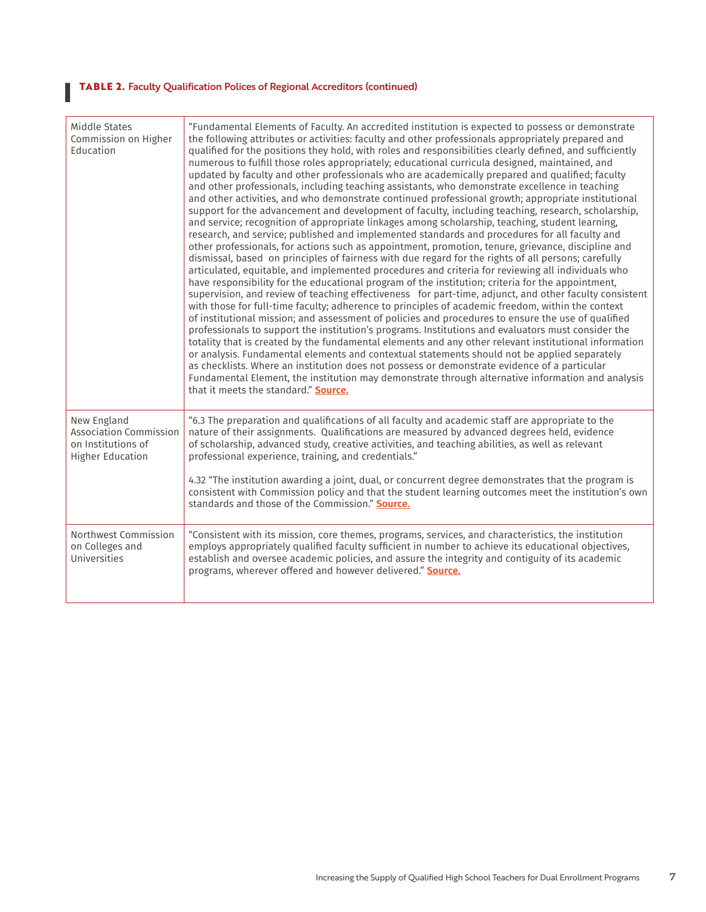#### **I TABLE 2.** Faculty Qualification Polices of Regional Accreditors (continued)

| Middle States<br>Commission on Higher<br>Education                                            | "Fundamental Elements of Faculty. An accredited institution is expected to possess or demonstrate<br>the following attributes or activities: faculty and other professionals appropriately prepared and<br>qualified for the positions they hold, with roles and responsibilities clearly defined, and sufficiently<br>numerous to fulfill those roles appropriately; educational curricula designed, maintained, and<br>updated by faculty and other professionals who are academically prepared and qualified; faculty<br>and other professionals, including teaching assistants, who demonstrate excellence in teaching<br>and other activities, and who demonstrate continued professional growth; appropriate institutional<br>support for the advancement and development of faculty, including teaching, research, scholarship,<br>and service; recognition of appropriate linkages among scholarship, teaching, student learning,<br>research, and service; published and implemented standards and procedures for all faculty and<br>other professionals, for actions such as appointment, promotion, tenure, grievance, discipline and<br>dismissal, based on principles of fairness with due regard for the rights of all persons; carefully<br>articulated, equitable, and implemented procedures and criteria for reviewing all individuals who<br>have responsibility for the educational program of the institution; criteria for the appointment,<br>supervision, and review of teaching effectiveness for part-time, adjunct, and other faculty consistent<br>with those for full-time faculty; adherence to principles of academic freedom, within the context<br>of institutional mission; and assessment of policies and procedures to ensure the use of qualified<br>professionals to support the institution's programs. Institutions and evaluators must consider the<br>totality that is created by the fundamental elements and any other relevant institutional information<br>or analysis. Fundamental elements and contextual statements should not be applied separately<br>as checklists. Where an institution does not possess or demonstrate evidence of a particular<br>Fundamental Element, the institution may demonstrate through alternative information and analysis<br>that it meets the standard." Source. |
|-----------------------------------------------------------------------------------------------|----------------------------------------------------------------------------------------------------------------------------------------------------------------------------------------------------------------------------------------------------------------------------------------------------------------------------------------------------------------------------------------------------------------------------------------------------------------------------------------------------------------------------------------------------------------------------------------------------------------------------------------------------------------------------------------------------------------------------------------------------------------------------------------------------------------------------------------------------------------------------------------------------------------------------------------------------------------------------------------------------------------------------------------------------------------------------------------------------------------------------------------------------------------------------------------------------------------------------------------------------------------------------------------------------------------------------------------------------------------------------------------------------------------------------------------------------------------------------------------------------------------------------------------------------------------------------------------------------------------------------------------------------------------------------------------------------------------------------------------------------------------------------------------------------------------------------------------------------------------------------------------------------------------------------------------------------------------------------------------------------------------------------------------------------------------------------------------------------------------------------------------------------------------------------------------------------------------------------------------------------------------------------------------------------------------------------------------------------|
| New England<br><b>Association Commission</b><br>on Institutions of<br><b>Higher Education</b> | "6.3 The preparation and qualifications of all faculty and academic staff are appropriate to the<br>nature of their assignments. Qualifications are measured by advanced degrees held, evidence<br>of scholarship, advanced study, creative activities, and teaching abilities, as well as relevant<br>professional experience, training, and credentials."<br>4.32 "The institution awarding a joint, dual, or concurrent degree demonstrates that the program is<br>consistent with Commission policy and that the student learning outcomes meet the institution's own<br>standards and those of the Commission." Source.                                                                                                                                                                                                                                                                                                                                                                                                                                                                                                                                                                                                                                                                                                                                                                                                                                                                                                                                                                                                                                                                                                                                                                                                                                                                                                                                                                                                                                                                                                                                                                                                                                                                                                                       |
| Northwest Commission<br>on Colleges and<br>Universities                                       | "Consistent with its mission, core themes, programs, services, and characteristics, the institution<br>employs appropriately qualified faculty sufficient in number to achieve its educational objectives,<br>establish and oversee academic policies, and assure the integrity and contiguity of its academic<br>programs, wherever offered and however delivered." Source.                                                                                                                                                                                                                                                                                                                                                                                                                                                                                                                                                                                                                                                                                                                                                                                                                                                                                                                                                                                                                                                                                                                                                                                                                                                                                                                                                                                                                                                                                                                                                                                                                                                                                                                                                                                                                                                                                                                                                                       |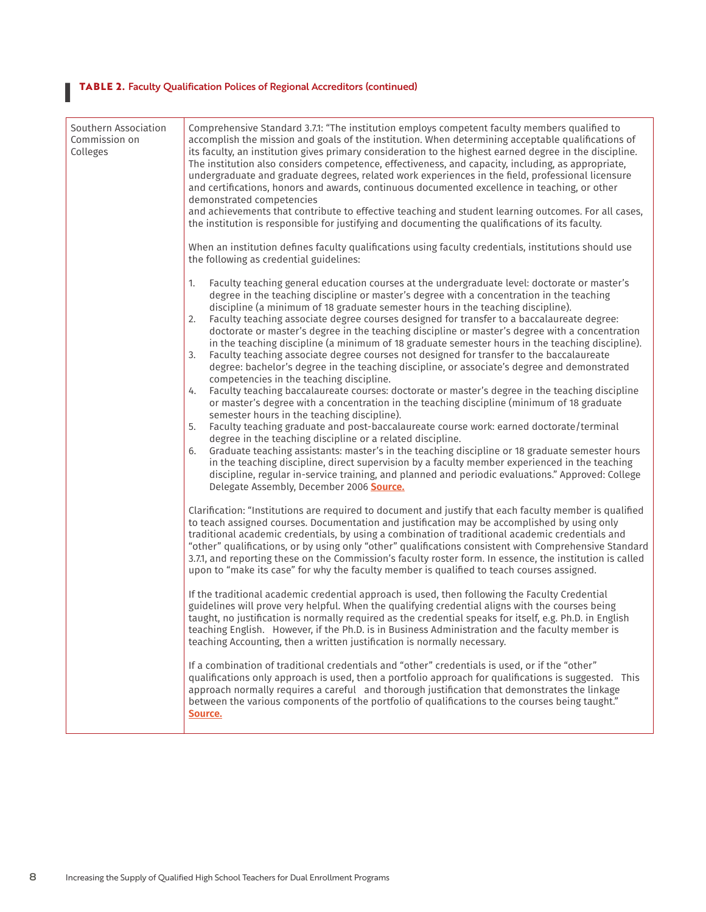#### **I TABLE 2.** Faculty Qualification Polices of Regional Accreditors (continued)

| Southern Association<br>Commission on<br>Colleges | Comprehensive Standard 3.7.1: "The institution employs competent faculty members qualified to<br>accomplish the mission and goals of the institution. When determining acceptable qualifications of<br>its faculty, an institution gives primary consideration to the highest earned degree in the discipline.<br>The institution also considers competence, effectiveness, and capacity, including, as appropriate,<br>undergraduate and graduate degrees, related work experiences in the field, professional licensure<br>and certifications, honors and awards, continuous documented excellence in teaching, or other<br>demonstrated competencies<br>and achievements that contribute to effective teaching and student learning outcomes. For all cases,<br>the institution is responsible for justifying and documenting the qualifications of its faculty.                                                                                                                                                                                                                                                                                                                                                                                                                                                                                                                                                                                                                                                                                                                                                           |
|---------------------------------------------------|-------------------------------------------------------------------------------------------------------------------------------------------------------------------------------------------------------------------------------------------------------------------------------------------------------------------------------------------------------------------------------------------------------------------------------------------------------------------------------------------------------------------------------------------------------------------------------------------------------------------------------------------------------------------------------------------------------------------------------------------------------------------------------------------------------------------------------------------------------------------------------------------------------------------------------------------------------------------------------------------------------------------------------------------------------------------------------------------------------------------------------------------------------------------------------------------------------------------------------------------------------------------------------------------------------------------------------------------------------------------------------------------------------------------------------------------------------------------------------------------------------------------------------------------------------------------------------------------------------------------------------|
|                                                   | When an institution defines faculty qualifications using faculty credentials, institutions should use<br>the following as credential guidelines:                                                                                                                                                                                                                                                                                                                                                                                                                                                                                                                                                                                                                                                                                                                                                                                                                                                                                                                                                                                                                                                                                                                                                                                                                                                                                                                                                                                                                                                                              |
|                                                   | Faculty teaching general education courses at the undergraduate level: doctorate or master's<br>1.<br>degree in the teaching discipline or master's degree with a concentration in the teaching<br>discipline (a minimum of 18 graduate semester hours in the teaching discipline).<br>Faculty teaching associate degree courses designed for transfer to a baccalaureate degree:<br>2.<br>doctorate or master's degree in the teaching discipline or master's degree with a concentration<br>in the teaching discipline (a minimum of 18 graduate semester hours in the teaching discipline).<br>Faculty teaching associate degree courses not designed for transfer to the baccalaureate<br>3.<br>degree: bachelor's degree in the teaching discipline, or associate's degree and demonstrated<br>competencies in the teaching discipline.<br>Faculty teaching baccalaureate courses: doctorate or master's degree in the teaching discipline<br>4.<br>or master's degree with a concentration in the teaching discipline (minimum of 18 graduate<br>semester hours in the teaching discipline).<br>Faculty teaching graduate and post-baccalaureate course work: earned doctorate/terminal<br>5.<br>degree in the teaching discipline or a related discipline.<br>Graduate teaching assistants: master's in the teaching discipline or 18 graduate semester hours<br>6.<br>in the teaching discipline, direct supervision by a faculty member experienced in the teaching<br>discipline, regular in-service training, and planned and periodic evaluations." Approved: College<br>Delegate Assembly, December 2006 Source. |
|                                                   | Clarification: "Institutions are required to document and justify that each faculty member is qualified<br>to teach assigned courses. Documentation and justification may be accomplished by using only<br>traditional academic credentials, by using a combination of traditional academic credentials and<br>"other" qualifications, or by using only "other" qualifications consistent with Comprehensive Standard<br>3.7.1, and reporting these on the Commission's faculty roster form. In essence, the institution is called<br>upon to "make its case" for why the faculty member is qualified to teach courses assigned.<br>If the traditional academic credential approach is used, then following the Faculty Credential<br>guidelines will prove very helpful. When the qualifying credential aligns with the courses being<br>taught, no justification is normally required as the credential speaks for itself, e.g. Ph.D. in English<br>teaching English. However, if the Ph.D. is in Business Administration and the faculty member is<br>teaching Accounting, then a written justification is normally necessary.                                                                                                                                                                                                                                                                                                                                                                                                                                                                                             |
|                                                   | If a combination of traditional credentials and "other" credentials is used, or if the "other"<br>qualifications only approach is used, then a portfolio approach for qualifications is suggested. This<br>approach normally requires a careful and thorough justification that demonstrates the linkage<br>between the various components of the portfolio of qualifications to the courses being taught."<br>Source.                                                                                                                                                                                                                                                                                                                                                                                                                                                                                                                                                                                                                                                                                                                                                                                                                                                                                                                                                                                                                                                                                                                                                                                                        |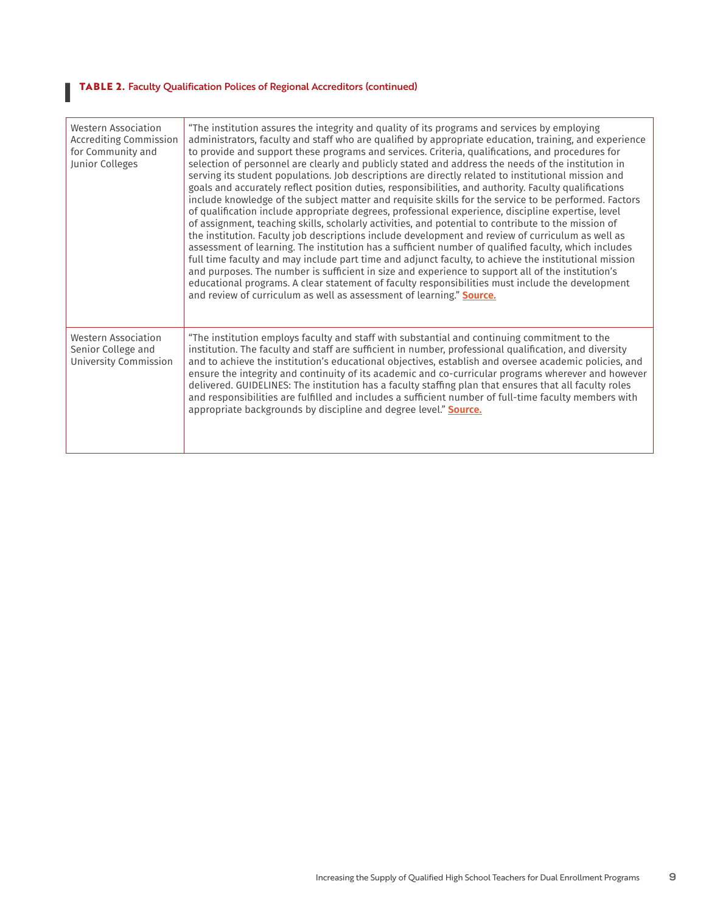#### **I TABLE 2.** Faculty Qualification Polices of Regional Accreditors (continued)

| Western Association<br>Accrediting Commission<br>for Community and<br>Junior Colleges | "The institution assures the integrity and quality of its programs and services by employing<br>administrators, faculty and staff who are qualified by appropriate education, training, and experience<br>to provide and support these programs and services. Criteria, qualifications, and procedures for<br>selection of personnel are clearly and publicly stated and address the needs of the institution in<br>serving its student populations. Job descriptions are directly related to institutional mission and<br>goals and accurately reflect position duties, responsibilities, and authority. Faculty qualifications<br>include knowledge of the subject matter and requisite skills for the service to be performed. Factors<br>of qualification include appropriate degrees, professional experience, discipline expertise, level<br>of assignment, teaching skills, scholarly activities, and potential to contribute to the mission of<br>the institution. Faculty job descriptions include development and review of curriculum as well as<br>assessment of learning. The institution has a sufficient number of qualified faculty, which includes<br>full time faculty and may include part time and adjunct faculty, to achieve the institutional mission<br>and purposes. The number is sufficient in size and experience to support all of the institution's<br>educational programs. A clear statement of faculty responsibilities must include the development<br>and review of curriculum as well as assessment of learning." Source. |
|---------------------------------------------------------------------------------------|---------------------------------------------------------------------------------------------------------------------------------------------------------------------------------------------------------------------------------------------------------------------------------------------------------------------------------------------------------------------------------------------------------------------------------------------------------------------------------------------------------------------------------------------------------------------------------------------------------------------------------------------------------------------------------------------------------------------------------------------------------------------------------------------------------------------------------------------------------------------------------------------------------------------------------------------------------------------------------------------------------------------------------------------------------------------------------------------------------------------------------------------------------------------------------------------------------------------------------------------------------------------------------------------------------------------------------------------------------------------------------------------------------------------------------------------------------------------------------------------------------------------------------------------------------------|
| Western Association<br>Senior College and<br>University Commission                    | "The institution employs faculty and staff with substantial and continuing commitment to the<br>institution. The faculty and staff are sufficient in number, professional qualification, and diversity<br>and to achieve the institution's educational objectives, establish and oversee academic policies, and<br>ensure the integrity and continuity of its academic and co-curricular programs wherever and however<br>delivered. GUIDELINES: The institution has a faculty staffing plan that ensures that all faculty roles<br>and responsibilities are fulfilled and includes a sufficient number of full-time faculty members with<br>appropriate backgrounds by discipline and degree level." Source.                                                                                                                                                                                                                                                                                                                                                                                                                                                                                                                                                                                                                                                                                                                                                                                                                                                 |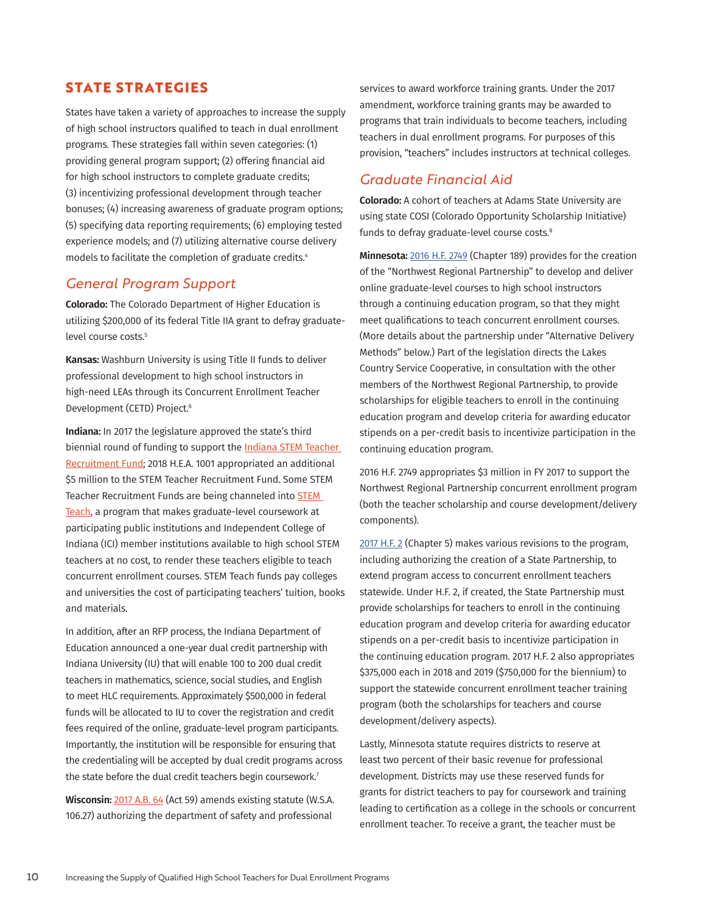## **STATE STRATEGIES**

States have taken a variety of approaches to increase the supply of high school instructors qualified to teach in dual enrollment programs. These strategies fall within seven categories: (1) providing general program support; (2) offering financial aid for high school instructors to complete graduate credits; (3) incentivizing professional development through teacher bonuses; (4) increasing awareness of graduate program options; (5) specifying data reporting requirements; (6) employing tested experience models; and (7) utilizing alternative course delivery models to facilitate the completion of graduate credits.4

#### *General Program Support*

**Colorado:** The Colorado Department of Higher Education is utilizing \$200,000 of its federal Title IIA grant to defray graduatelevel course costs.<sup>5</sup>

**Kansas:** Washburn University is using Title II funds to deliver professional development to high school instructors in high-need LEAs through its Concurrent Enrollment Teacher Development (CETD) Project.6

**Indiana:** In 2017 the legislature approved the state's third biennial round of funding to support the [Indiana STEM Teacher](https://www.in.gov/che/4519.htm)  [Recruitment Fund](https://www.in.gov/che/4519.htm); 2018 H.E.A. 1001 appropriated an additional \$5 million to the STEM Teacher Recruitment Fund. Some STEM Teacher Recruitment Funds are being channeled into [STEM](http://www.stemteachindiana.org/about-stem-teach/)  [Teach](http://www.stemteachindiana.org/about-stem-teach/), a program that makes graduate-level coursework at participating public institutions and Independent College of Indiana (ICI) member institutions available to high school STEM teachers at no cost, to render these teachers eligible to teach concurrent enrollment courses. STEM Teach funds pay colleges and universities the cost of participating teachers' tuition, books and materials.

In addition, after an RFP process, the Indiana Department of Education announced a one-year dual credit partnership with Indiana University (IU) that will enable 100 to 200 dual credit teachers in mathematics, science, social studies, and English to meet HLC requirements. Approximately \$500,000 in federal funds will be allocated to IU to cover the registration and credit fees required of the online, graduate-level program participants. Importantly, the institution will be responsible for ensuring that the credentialing will be accepted by dual credit programs across the state before the dual credit teachers begin coursework.<sup>7</sup>

**Wisconsin:** [2017 A.B. 64](https://docs.legis.wisconsin.gov/2017/related/acts/59) (Act 59) amends existing statute (W.S.A. 106.27) authorizing the department of safety and professional

services to award workforce training grants. Under the 2017 amendment, workforce training grants may be awarded to programs that train individuals to become teachers, including teachers in dual enrollment programs. For purposes of this provision, "teachers" includes instructors at technical colleges.

## *Graduate Financial Aid*

**Colorado:** A cohort of teachers at Adams State University are using state COSI (Colorado Opportunity Scholarship Initiative) funds to defray graduate-level course costs.<sup>8</sup>

**Minnesota:** [2016 H.F. 2749](https://www.revisor.mn.gov/laws/?year=2016&type=0&doctype=Chapter&id=189&format=pdf) (Chapter 189) provides for the creation of the "Northwest Regional Partnership" to develop and deliver online graduate-level courses to high school instructors through a continuing education program, so that they might meet qualifications to teach concurrent enrollment courses. (More details about the partnership under "Alternative Delivery Methods" below.) Part of the legislation directs the Lakes Country Service Cooperative, in consultation with the other members of the Northwest Regional Partnership, to provide scholarships for eligible teachers to enroll in the continuing education program and develop criteria for awarding educator stipends on a per-credit basis to incentivize participation in the continuing education program.

2016 H.F. 2749 appropriates \$3 million in FY 2017 to support the Northwest Regional Partnership concurrent enrollment program (both the teacher scholarship and course development/delivery components).

[2017 H.F. 2](https://www.revisor.mn.gov/laws/?year=2017&type=1&doctype=Chapter&id=5&format=pdf) (Chapter 5) makes various revisions to the program, including authorizing the creation of a State Partnership, to extend program access to concurrent enrollment teachers statewide. Under H.F. 2, if created, the State Partnership must provide scholarships for teachers to enroll in the continuing education program and develop criteria for awarding educator stipends on a per-credit basis to incentivize participation in the continuing education program. 2017 H.F. 2 also appropriates \$375,000 each in 2018 and 2019 (\$750,000 for the biennium) to support the statewide concurrent enrollment teacher training program (both the scholarships for teachers and course development/delivery aspects).

Lastly, Minnesota statute requires districts to reserve at least two percent of their basic revenue for professional development. Districts may use these reserved funds for grants for district teachers to pay for coursework and training leading to certification as a college in the schools or concurrent enrollment teacher. To receive a grant, the teacher must be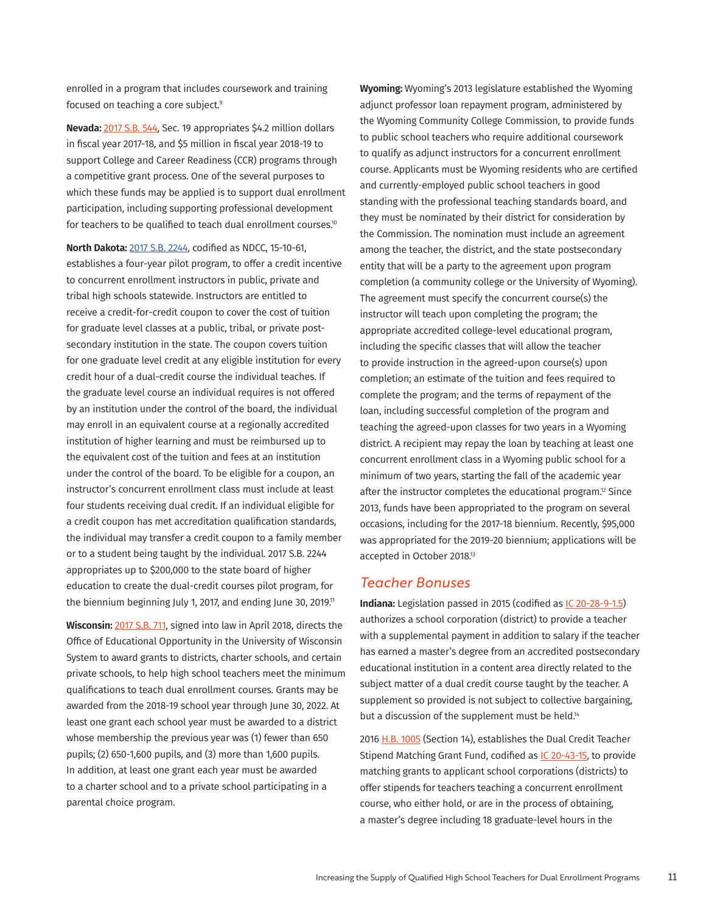enrolled in a program that includes coursework and training focused on teaching a core subject.<sup>9</sup>

**Nevada:** [2017 S.B. 544,](https://www.leg.state.nv.us/Session/79th2017/Bills/SB/SB544_EN.pdf) Sec. 19 appropriates \$4.2 million dollars in fiscal year 2017-18, and \$5 million in fiscal year 2018-19 to support College and Career Readiness (CCR) programs through a competitive grant process. One of the several purposes to which these funds may be applied is to support dual enrollment participation, including supporting professional development for teachers to be qualified to teach dual enrollment courses.<sup>10</sup>

**North Dakota:** [2017 S.B. 2244,](https://s3.amazonaws.com/fn-document-service/file-by-sha384/fc92c65a15046438150a679576ee74889c28b1751f89890e6d6ff93f3e5d24c52f28d73154c693b19b59d5480a86f3b5) codified as NDCC, 15-10-61, establishes a four-year pilot program, to offer a credit incentive to concurrent enrollment instructors in public, private and tribal high schools statewide. Instructors are entitled to receive a credit-for-credit coupon to cover the cost of tuition for graduate level classes at a public, tribal, or private postsecondary institution in the state. The coupon covers tuition for one graduate level credit at any eligible institution for every credit hour of a dual-credit course the individual teaches. If the graduate level course an individual requires is not offered by an institution under the control of the board, the individual may enroll in an equivalent course at a regionally accredited institution of higher learning and must be reimbursed up to the equivalent cost of the tuition and fees at an institution under the control of the board. To be eligible for a coupon, an instructor's concurrent enrollment class must include at least four students receiving dual credit. If an individual eligible for a credit coupon has met accreditation qualification standards, the individual may transfer a credit coupon to a family member or to a student being taught by the individual. 2017 S.B. 2244 appropriates up to \$200,000 to the state board of higher education to create the dual-credit courses pilot program, for the biennium beginning July 1, 2017, and ending June 30, 2019.<sup>11</sup>

**Wisconsin:** [2017 S.B. 711,](https://docs.legis.wisconsin.gov/2017/related/proposals/sb711) signed into law in April 2018, directs the Office of Educational Opportunity in the University of Wisconsin System to award grants to districts, charter schools, and certain private schools, to help high school teachers meet the minimum qualifications to teach dual enrollment courses. Grants may be awarded from the 2018-19 school year through June 30, 2022. At least one grant each school year must be awarded to a district whose membership the previous year was (1) fewer than 650 pupils; (2) 650-1,600 pupils, and (3) more than 1,600 pupils. In addition, at least one grant each year must be awarded to a charter school and to a private school participating in a parental choice program.

**Wyoming:** Wyoming's 2013 legislature established the Wyoming adjunct professor loan repayment program, administered by the Wyoming Community College Commission, to provide funds to public school teachers who require additional coursework to qualify as adjunct instructors for a concurrent enrollment course. Applicants must be Wyoming residents who are certified and currently-employed public school teachers in good standing with the professional teaching standards board, and they must be nominated by their district for consideration by the Commission. The nomination must include an agreement among the teacher, the district, and the state postsecondary entity that will be a party to the agreement upon program completion (a community college or the University of Wyoming). The agreement must specify the concurrent course(s) the instructor will teach upon completing the program; the appropriate accredited college-level educational program, including the specific classes that will allow the teacher to provide instruction in the agreed-upon course(s) upon completion; an estimate of the tuition and fees required to complete the program; and the terms of repayment of the loan, including successful completion of the program and teaching the agreed-upon classes for two years in a Wyoming district. A recipient may repay the loan by teaching at least one concurrent enrollment class in a Wyoming public school for a minimum of two years, starting the fall of the academic year after the instructor completes the educational program.<sup>12</sup> Since 2013, funds have been appropriated to the program on several occasions, including for the 2017-18 biennium. Recently, \$95,000 was appropriated for the 2019-20 biennium; applications will be accepted in October 2018.13

#### *Teacher Bonuses*

**Indiana:** Legislation passed in 2015 (codified as [IC 20-28-9-1.5](http://iga.in.gov/legislative/laws/2017/ic/titles/020/#20-28-9-1.5)) authorizes a school corporation (district) to provide a teacher with a supplemental payment in addition to salary if the teacher has earned a master's degree from an accredited postsecondary educational institution in a content area directly related to the subject matter of a dual credit course taught by the teacher. A supplement so provided is not subject to collective bargaining, but a discussion of the supplement must be held.<sup>14</sup>

2016 [H.B. 1005](https://iga.in.gov/legislative/2016/bills/house/1005#document-6816aa3a) (Section 14), establishes the Dual Credit Teacher Stipend Matching Grant Fund, codified as [IC 20-43-15](http://iga.in.gov/legislative/laws/2017/ic/titles/020/#20-43-15), to provide matching grants to applicant school corporations (districts) to offer stipends for teachers teaching a concurrent enrollment course, who either hold, or are in the process of obtaining, a master's degree including 18 graduate-level hours in the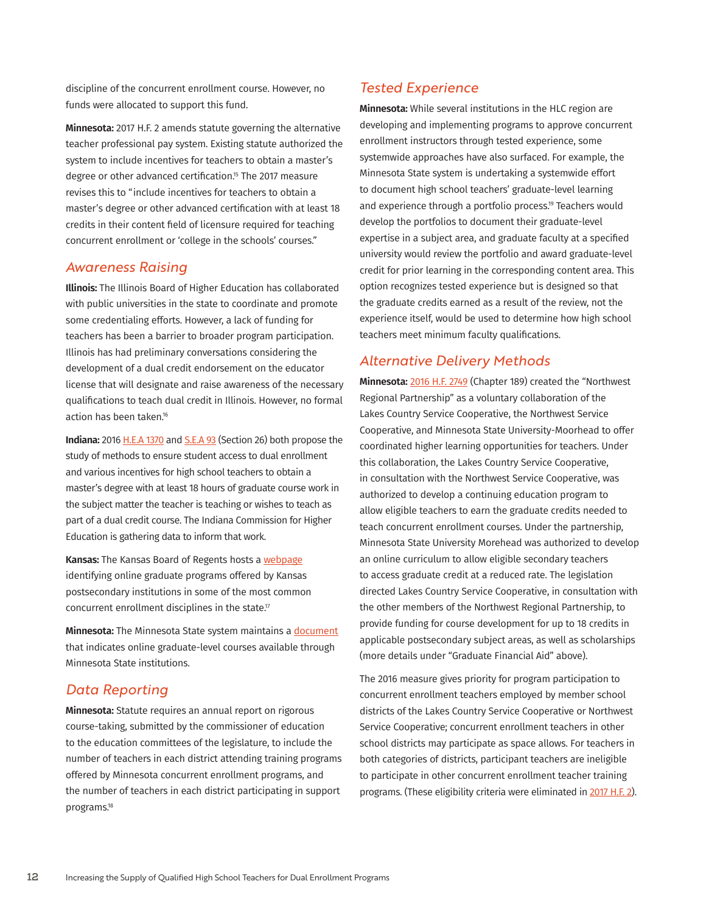discipline of the concurrent enrollment course. However, no funds were allocated to support this fund.

**Minnesota:** 2017 H.F. 2 amends statute governing the alternative teacher professional pay system. Existing statute authorized the system to include incentives for teachers to obtain a master's degree or other advanced certification.<sup>15</sup> The 2017 measure revises this to "include incentives for teachers to obtain a master's degree or other advanced certification with at least 18 credits in their content field of licensure required for teaching concurrent enrollment or 'college in the schools' courses."

#### *Awareness Raising*

**Illinois:** The Illinois Board of Higher Education has collaborated with public universities in the state to coordinate and promote some credentialing efforts. However, a lack of funding for teachers has been a barrier to broader program participation. Illinois has had preliminary conversations considering the development of a dual credit endorsement on the educator license that will designate and raise awareness of the necessary qualifications to teach dual credit in Illinois. However, no formal action has been taken.<sup>16</sup>

**Indiana:** 2016 [H.E.A 1370](https://iga.in.gov/static-documents/b/5/6/d/b56d9721/HB1370.05.ENRS.pdf) and [S.E.A 93](https://iga.in.gov/static-documents/1/1/1/1/1111760f/SB0093.06.ENRH.pdf) (Section 26) both propose the study of methods to ensure student access to dual enrollment and various incentives for high school teachers to obtain a master's degree with at least 18 hours of graduate course work in the subject matter the teacher is teaching or wishes to teach as part of a dual credit course. The Indiana Commission for Higher Education is gathering data to inform that work.

**Kansas:** The Kansas Board of Regents hosts a [webpage](https://www.kansasregents.org/academic_affairs/teacher_education_initiatives/concurrent-enrollment-faculty-qualifications) identifying online graduate programs offered by Kansas postsecondary institutions in some of the most common concurrent enrollment disciplines in the state.<sup>17</sup>

**Minnesota:** The Minnesota State system maintains a [document](https://www.minnstate.edu/system/asa/studentaffairs/docs/concurrent-enrollment-minimum-faculty-qualifications.pdf) that indicates online graduate-level courses available through Minnesota State institutions.

#### *Data Reporting*

**Minnesota:** Statute requires an annual report on rigorous course-taking, submitted by the commissioner of education to the education committees of the legislature, to include the number of teachers in each district attending training programs offered by Minnesota concurrent enrollment programs, and the number of teachers in each district participating in support programs.18

#### *Tested Experience*

**Minnesota:** While several institutions in the HLC region are developing and implementing programs to approve concurrent enrollment instructors through tested experience, some systemwide approaches have also surfaced. For example, the Minnesota State system is undertaking a systemwide effort to document high school teachers' graduate-level learning and experience through a portfolio process.<sup>19</sup> Teachers would develop the portfolios to document their graduate-level expertise in a subject area, and graduate faculty at a specified university would review the portfolio and award graduate-level credit for prior learning in the corresponding content area. This option recognizes tested experience but is designed so that the graduate credits earned as a result of the review, not the experience itself, would be used to determine how high school teachers meet minimum faculty qualifications.

#### *Alternative Delivery Methods*

**Minnesota:** [2016 H.F. 2749](https://www.revisor.mn.gov/laws/?year=2016&type=0&doctype=Chapter&id=189&format=pdf) (Chapter 189) created the "Northwest Regional Partnership" as a voluntary collaboration of the Lakes Country Service Cooperative, the Northwest Service Cooperative, and Minnesota State University-Moorhead to offer coordinated higher learning opportunities for teachers. Under this collaboration, the Lakes Country Service Cooperative, in consultation with the Northwest Service Cooperative, was authorized to develop a continuing education program to allow eligible teachers to earn the graduate credits needed to teach concurrent enrollment courses. Under the partnership, Minnesota State University Morehead was authorized to develop an online curriculum to allow eligible secondary teachers to access graduate credit at a reduced rate. The legislation directed Lakes Country Service Cooperative, in consultation with the other members of the Northwest Regional Partnership, to provide funding for course development for up to 18 credits in applicable postsecondary subject areas, as well as scholarships (more details under "Graduate Financial Aid" above).

The 2016 measure gives priority for program participation to concurrent enrollment teachers employed by member school districts of the Lakes Country Service Cooperative or Northwest Service Cooperative; concurrent enrollment teachers in other school districts may participate as space allows. For teachers in both categories of districts, participant teachers are ineligible to participate in other concurrent enrollment teacher training programs. (These eligibility criteria were eliminated in [2017 H.F. 2\)](https://www.revisor.mn.gov/laws/?year=2017&type=1&doctype=Chapter&id=5&format=pdf).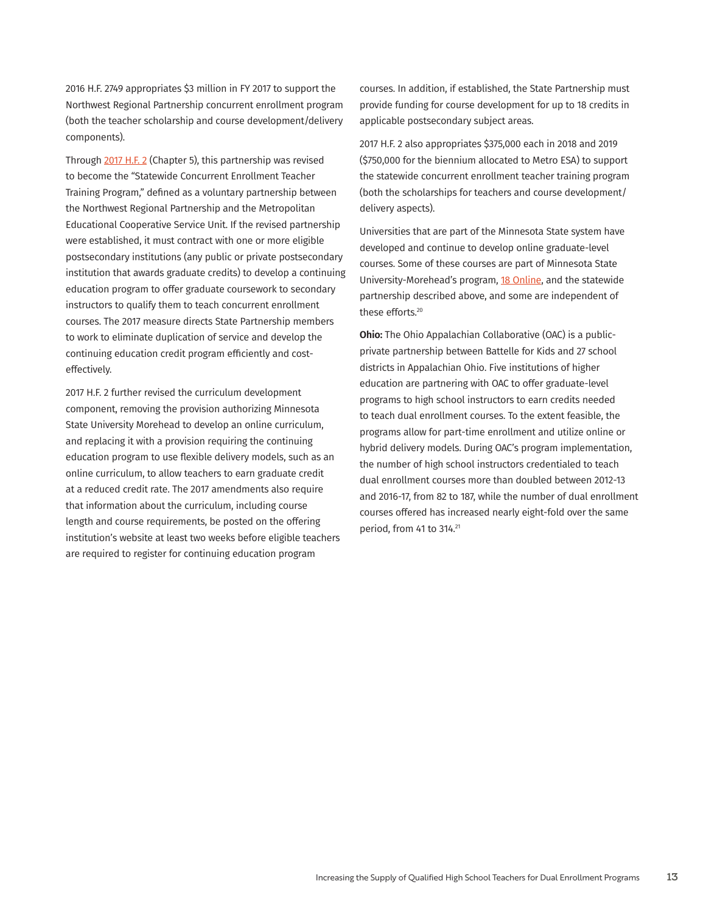2016 H.F. 2749 appropriates \$3 million in FY 2017 to support the Northwest Regional Partnership concurrent enrollment program (both the teacher scholarship and course development/delivery components).

Through [2017 H.F. 2](https://www.revisor.mn.gov/laws/?year=2017&type=1&doctype=Chapter&id=5&format=pdf) (Chapter 5), this partnership was revised to become the "Statewide Concurrent Enrollment Teacher Training Program," defined as a voluntary partnership between the Northwest Regional Partnership and the Metropolitan Educational Cooperative Service Unit. If the revised partnership were established, it must contract with one or more eligible postsecondary institutions (any public or private postsecondary institution that awards graduate credits) to develop a continuing education program to offer graduate coursework to secondary instructors to qualify them to teach concurrent enrollment courses. The 2017 measure directs State Partnership members to work to eliminate duplication of service and develop the continuing education credit program efficiently and costeffectively.

2017 H.F. 2 further revised the curriculum development component, removing the provision authorizing Minnesota State University Morehead to develop an online curriculum, and replacing it with a provision requiring the continuing education program to use flexible delivery models, such as an online curriculum, to allow teachers to earn graduate credit at a reduced credit rate. The 2017 amendments also require that information about the curriculum, including course length and course requirements, be posted on the offering institution's website at least two weeks before eligible teachers are required to register for continuing education program

courses. In addition, if established, the State Partnership must provide funding for course development for up to 18 credits in applicable postsecondary subject areas.

2017 H.F. 2 also appropriates \$375,000 each in 2018 and 2019 (\$750,000 for the biennium allocated to Metro ESA) to support the statewide concurrent enrollment teacher training program (both the scholarships for teachers and course development/ delivery aspects).

Universities that are part of the Minnesota State system have developed and continue to develop online graduate-level courses. Some of these courses are part of Minnesota State University-Morehead's program, [18 Online,](https://www.mnstate.edu/18online) and the statewide partnership described above, and some are independent of these efforts.<sup>20</sup>

**Ohio:** The Ohio Appalachian Collaborative (OAC) is a publicprivate partnership between Battelle for Kids and 27 school districts in Appalachian Ohio. Five institutions of higher education are partnering with OAC to offer graduate-level programs to high school instructors to earn credits needed to teach dual enrollment courses. To the extent feasible, the programs allow for part-time enrollment and utilize online or hybrid delivery models. During OAC's program implementation, the number of high school instructors credentialed to teach dual enrollment courses more than doubled between 2012-13 and 2016-17, from 82 to 187, while the number of dual enrollment courses offered has increased nearly eight-fold over the same period, from 41 to 314.21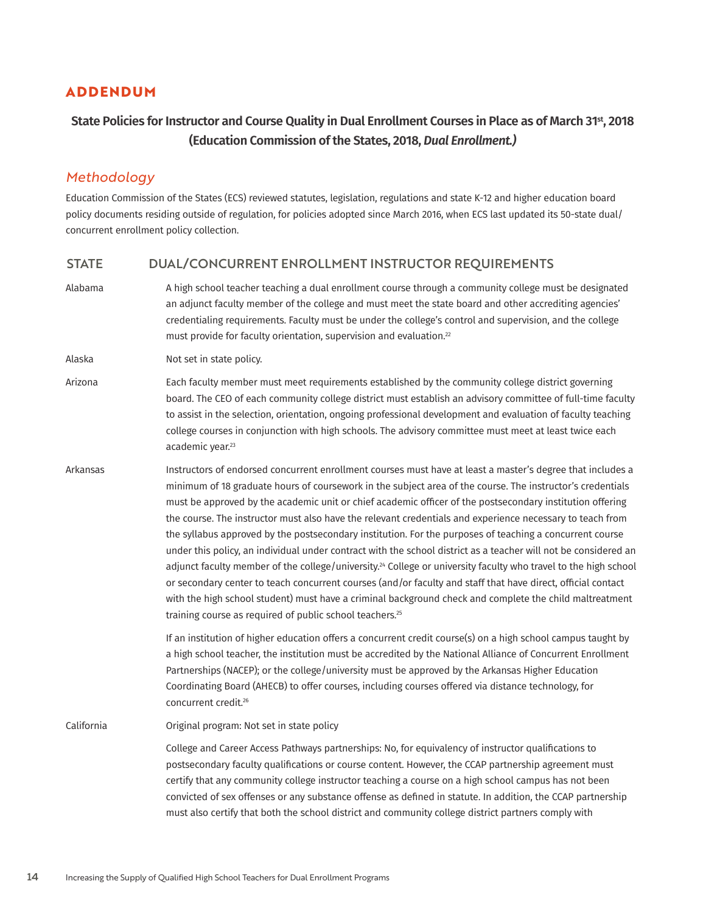## **ADDENDUM**

## **State Policies for Instructor and Course Quality in Dual Enrollment Courses in Place as of March 31st, 2018 (Education Commission of the States, 2018,** *Dual Enrollment.)*

## *Methodology*

Education Commission of the States (ECS) reviewed statutes, legislation, regulations and state K-12 and higher education board policy documents residing outside of regulation, for policies adopted since March 2016, when ECS last updated its 50-state dual/ concurrent enrollment policy collection.

#### STATE DUAL/CONCURRENT ENROLLMENT INSTRUCTOR REQUIREMENTS

Alabama A high school teacher teaching a dual enrollment course through a community college must be designated an adjunct faculty member of the college and must meet the state board and other accrediting agencies' credentialing requirements. Faculty must be under the college's control and supervision, and the college must provide for faculty orientation, supervision and evaluation.<sup>22</sup>

Alaska Not set in state policy.

- Arizona Each faculty member must meet requirements established by the community college district governing board. The CEO of each community college district must establish an advisory committee of full-time faculty to assist in the selection, orientation, ongoing professional development and evaluation of faculty teaching college courses in conjunction with high schools. The advisory committee must meet at least twice each academic year.<sup>23</sup>
- Arkansas **Instructors of endorsed concurrent enrollment courses must have at least a master's degree that includes a** minimum of 18 graduate hours of coursework in the subject area of the course. The instructor's credentials must be approved by the academic unit or chief academic officer of the postsecondary institution offering the course. The instructor must also have the relevant credentials and experience necessary to teach from the syllabus approved by the postsecondary institution. For the purposes of teaching a concurrent course under this policy, an individual under contract with the school district as a teacher will not be considered an adjunct faculty member of the college/university.<sup>24</sup> College or university faculty who travel to the high school or secondary center to teach concurrent courses (and/or faculty and staff that have direct, official contact with the high school student) must have a criminal background check and complete the child maltreatment training course as required of public school teachers.25

If an institution of higher education offers a concurrent credit course(s) on a high school campus taught by a high school teacher, the institution must be accredited by the National Alliance of Concurrent Enrollment Partnerships (NACEP); or the college/university must be approved by the Arkansas Higher Education Coordinating Board (AHECB) to offer courses, including courses offered via distance technology, for concurrent credit.26

California Original program: Not set in state policy

College and Career Access Pathways partnerships: No, for equivalency of instructor qualifications to postsecondary faculty qualifications or course content. However, the CCAP partnership agreement must certify that any community college instructor teaching a course on a high school campus has not been convicted of sex offenses or any substance offense as defined in statute. In addition, the CCAP partnership must also certify that both the school district and community college district partners comply with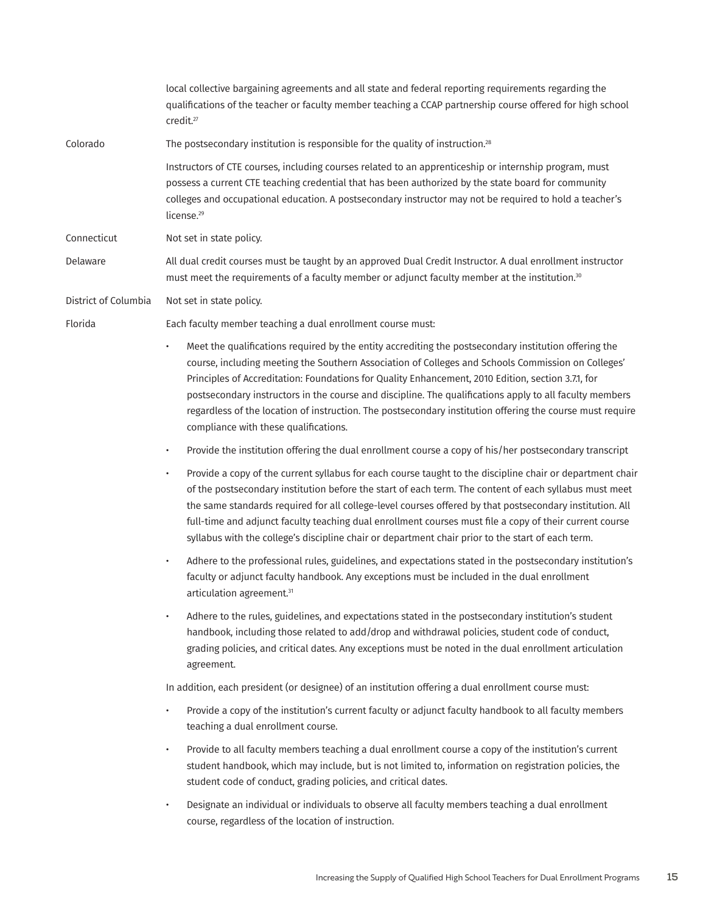|                      | local collective bargaining agreements and all state and federal reporting requirements regarding the<br>qualifications of the teacher or faculty member teaching a CCAP partnership course offered for high school<br>credit. <sup>27</sup>                                                                                                                                                                                                                                                                                                                                                    |
|----------------------|-------------------------------------------------------------------------------------------------------------------------------------------------------------------------------------------------------------------------------------------------------------------------------------------------------------------------------------------------------------------------------------------------------------------------------------------------------------------------------------------------------------------------------------------------------------------------------------------------|
| Colorado             | The postsecondary institution is responsible for the quality of instruction. <sup>28</sup>                                                                                                                                                                                                                                                                                                                                                                                                                                                                                                      |
|                      | Instructors of CTE courses, including courses related to an apprenticeship or internship program, must<br>possess a current CTE teaching credential that has been authorized by the state board for community<br>colleges and occupational education. A postsecondary instructor may not be required to hold a teacher's<br>license. <sup>29</sup>                                                                                                                                                                                                                                              |
| Connecticut          | Not set in state policy.                                                                                                                                                                                                                                                                                                                                                                                                                                                                                                                                                                        |
| Delaware             | All dual credit courses must be taught by an approved Dual Credit Instructor. A dual enrollment instructor<br>must meet the requirements of a faculty member or adjunct faculty member at the institution. <sup>30</sup>                                                                                                                                                                                                                                                                                                                                                                        |
| District of Columbia | Not set in state policy.                                                                                                                                                                                                                                                                                                                                                                                                                                                                                                                                                                        |
| Florida              | Each faculty member teaching a dual enrollment course must:                                                                                                                                                                                                                                                                                                                                                                                                                                                                                                                                     |
|                      | Meet the qualifications required by the entity accrediting the postsecondary institution offering the<br>$\bullet$<br>course, including meeting the Southern Association of Colleges and Schools Commission on Colleges'<br>Principles of Accreditation: Foundations for Quality Enhancement, 2010 Edition, section 3.7.1, for<br>postsecondary instructors in the course and discipline. The qualifications apply to all faculty members<br>regardless of the location of instruction. The postsecondary institution offering the course must require<br>compliance with these qualifications. |
|                      | Provide the institution offering the dual enrollment course a copy of his/her postsecondary transcript<br>$\bullet$                                                                                                                                                                                                                                                                                                                                                                                                                                                                             |
|                      | Provide a copy of the current syllabus for each course taught to the discipline chair or department chair<br>$\bullet$<br>of the postsecondary institution before the start of each term. The content of each syllabus must meet<br>the same standards required for all college-level courses offered by that postsecondary institution. All<br>full-time and adjunct faculty teaching dual enrollment courses must file a copy of their current course<br>syllabus with the college's discipline chair or department chair prior to the start of each term.                                    |
|                      | Adhere to the professional rules, guidelines, and expectations stated in the postsecondary institution's<br>$\bullet$<br>faculty or adjunct faculty handbook. Any exceptions must be included in the dual enrollment<br>articulation agreement. <sup>31</sup>                                                                                                                                                                                                                                                                                                                                   |
|                      | Adhere to the rules, guidelines, and expectations stated in the postsecondary institution's student<br>$\bullet$<br>handbook, including those related to add/drop and withdrawal policies, student code of conduct,<br>grading policies, and critical dates. Any exceptions must be noted in the dual enrollment articulation<br>agreement.                                                                                                                                                                                                                                                     |
|                      | In addition, each president (or designee) of an institution offering a dual enrollment course must:                                                                                                                                                                                                                                                                                                                                                                                                                                                                                             |
|                      | Provide a copy of the institution's current faculty or adjunct faculty handbook to all faculty members<br>$\bullet$<br>teaching a dual enrollment course.                                                                                                                                                                                                                                                                                                                                                                                                                                       |
|                      | Provide to all faculty members teaching a dual enrollment course a copy of the institution's current<br>$\bullet$<br>student handbook, which may include, but is not limited to, information on registration policies, the<br>student code of conduct, grading policies, and critical dates.                                                                                                                                                                                                                                                                                                    |
|                      | Designate an individual or individuals to observe all faculty members teaching a dual enrollment<br>$\bullet$<br>course, regardless of the location of instruction.                                                                                                                                                                                                                                                                                                                                                                                                                             |
|                      |                                                                                                                                                                                                                                                                                                                                                                                                                                                                                                                                                                                                 |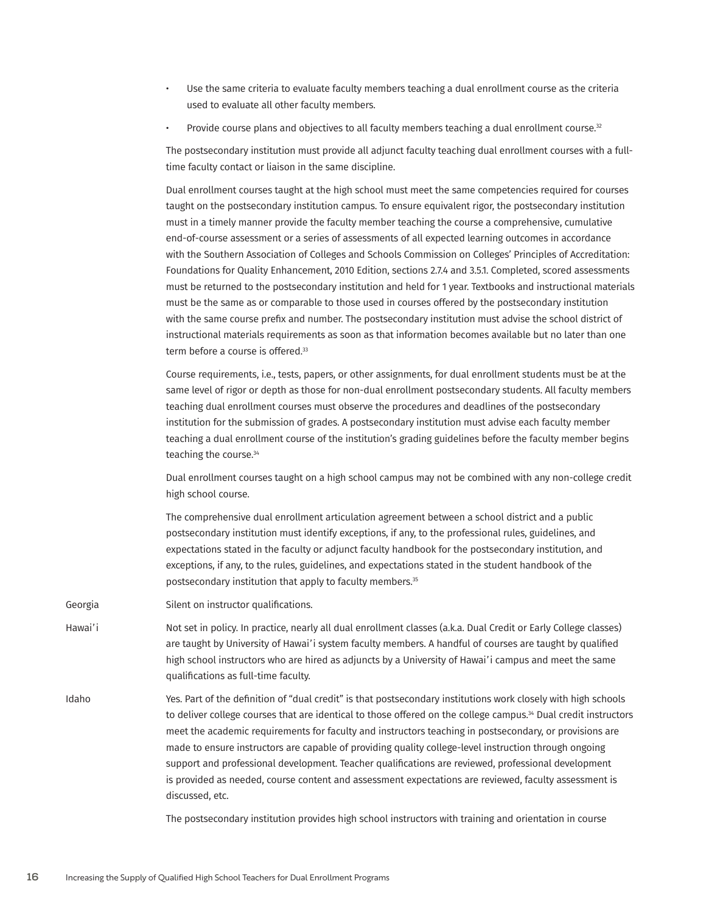- Use the same criteria to evaluate faculty members teaching a dual enrollment course as the criteria used to evaluate all other faculty members.
- Provide course plans and objectives to all faculty members teaching a dual enrollment course.<sup>32</sup>

The postsecondary institution must provide all adjunct faculty teaching dual enrollment courses with a fulltime faculty contact or liaison in the same discipline.

Dual enrollment courses taught at the high school must meet the same competencies required for courses taught on the postsecondary institution campus. To ensure equivalent rigor, the postsecondary institution must in a timely manner provide the faculty member teaching the course a comprehensive, cumulative end-of-course assessment or a series of assessments of all expected learning outcomes in accordance with the Southern Association of Colleges and Schools Commission on Colleges' Principles of Accreditation: Foundations for Quality Enhancement, 2010 Edition, sections 2.7.4 and 3.5.1. Completed, scored assessments must be returned to the postsecondary institution and held for 1 year. Textbooks and instructional materials must be the same as or comparable to those used in courses offered by the postsecondary institution with the same course prefix and number. The postsecondary institution must advise the school district of instructional materials requirements as soon as that information becomes available but no later than one term before a course is offered.<sup>33</sup>

Course requirements, i.e., tests, papers, or other assignments, for dual enrollment students must be at the same level of rigor or depth as those for non-dual enrollment postsecondary students. All faculty members teaching dual enrollment courses must observe the procedures and deadlines of the postsecondary institution for the submission of grades. A postsecondary institution must advise each faculty member teaching a dual enrollment course of the institution's grading guidelines before the faculty member begins teaching the course.<sup>34</sup>

Dual enrollment courses taught on a high school campus may not be combined with any non-college credit high school course.

The comprehensive dual enrollment articulation agreement between a school district and a public postsecondary institution must identify exceptions, if any, to the professional rules, guidelines, and expectations stated in the faculty or adjunct faculty handbook for the postsecondary institution, and exceptions, if any, to the rules, guidelines, and expectations stated in the student handbook of the postsecondary institution that apply to faculty members.<sup>35</sup>

Georgia Silent on instructor qualifications.

- Hawai'i Not set in policy. In practice, nearly all dual enrollment classes (a.k.a. Dual Credit or Early College classes) are taught by University of Hawai'i system faculty members. A handful of courses are taught by qualified high school instructors who are hired as adjuncts by a University of Hawai'i campus and meet the same qualifications as full-time faculty.
- Idaho Yes. Part of the definition of "dual credit" is that postsecondary institutions work closely with high schools to deliver college courses that are identical to those offered on the college campus.<sup>34</sup> Dual credit instructors meet the academic requirements for faculty and instructors teaching in postsecondary, or provisions are made to ensure instructors are capable of providing quality college-level instruction through ongoing support and professional development. Teacher qualifications are reviewed, professional development is provided as needed, course content and assessment expectations are reviewed, faculty assessment is discussed, etc.

The postsecondary institution provides high school instructors with training and orientation in course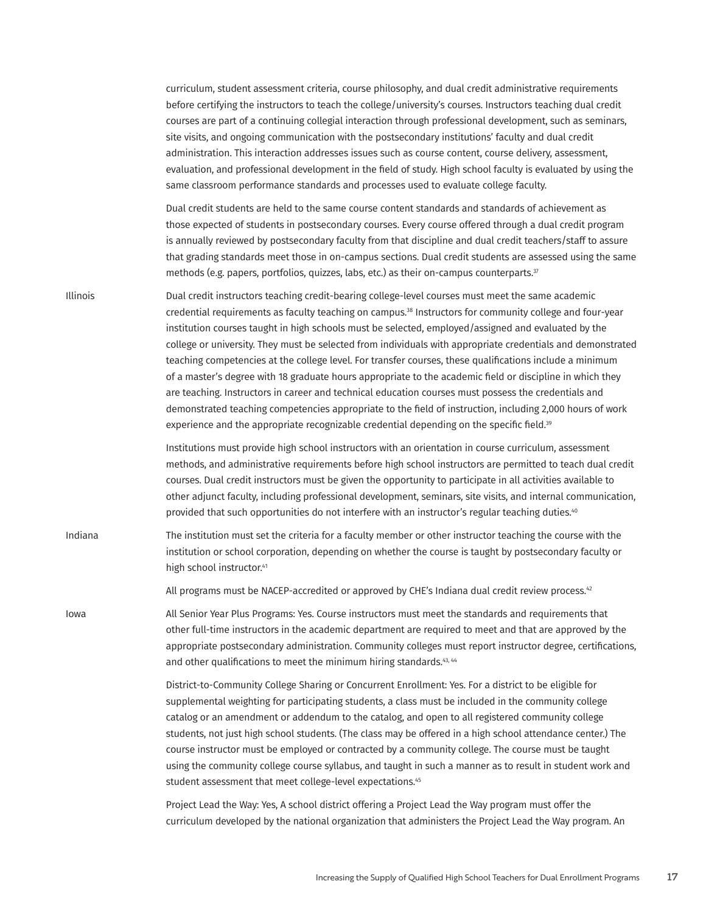curriculum, student assessment criteria, course philosophy, and dual credit administrative requirements before certifying the instructors to teach the college/university's courses. Instructors teaching dual credit courses are part of a continuing collegial interaction through professional development, such as seminars, site visits, and ongoing communication with the postsecondary institutions' faculty and dual credit administration. This interaction addresses issues such as course content, course delivery, assessment, evaluation, and professional development in the field of study. High school faculty is evaluated by using the same classroom performance standards and processes used to evaluate college faculty.

Dual credit students are held to the same course content standards and standards of achievement as those expected of students in postsecondary courses. Every course offered through a dual credit program is annually reviewed by postsecondary faculty from that discipline and dual credit teachers/staff to assure that grading standards meet those in on-campus sections. Dual credit students are assessed using the same methods (e.g. papers, portfolios, quizzes, labs, etc.) as their on-campus counterparts.<sup>37</sup>

Illinois Dual credit instructors teaching credit-bearing college-level courses must meet the same academic credential requirements as faculty teaching on campus.<sup>38</sup> Instructors for community college and four-year institution courses taught in high schools must be selected, employed/assigned and evaluated by the college or university. They must be selected from individuals with appropriate credentials and demonstrated teaching competencies at the college level. For transfer courses, these qualifications include a minimum of a master's degree with 18 graduate hours appropriate to the academic field or discipline in which they are teaching. Instructors in career and technical education courses must possess the credentials and demonstrated teaching competencies appropriate to the field of instruction, including 2,000 hours of work experience and the appropriate recognizable credential depending on the specific field.<sup>39</sup>

> Institutions must provide high school instructors with an orientation in course curriculum, assessment methods, and administrative requirements before high school instructors are permitted to teach dual credit courses. Dual credit instructors must be given the opportunity to participate in all activities available to other adjunct faculty, including professional development, seminars, site visits, and internal communication, provided that such opportunities do not interfere with an instructor's regular teaching duties.<sup>40</sup>

Indiana The institution must set the criteria for a faculty member or other instructor teaching the course with the institution or school corporation, depending on whether the course is taught by postsecondary faculty or high school instructor.<sup>41</sup>

All programs must be NACEP-accredited or approved by CHE's Indiana dual credit review process.<sup>42</sup>

Iowa All Senior Year Plus Programs: Yes. Course instructors must meet the standards and requirements that other full-time instructors in the academic department are required to meet and that are approved by the appropriate postsecondary administration. Community colleges must report instructor degree, certifications, and other qualifications to meet the minimum hiring standards.<sup>43, 44</sup>

> District-to-Community College Sharing or Concurrent Enrollment: Yes. For a district to be eligible for supplemental weighting for participating students, a class must be included in the community college catalog or an amendment or addendum to the catalog, and open to all registered community college students, not just high school students. (The class may be offered in a high school attendance center.) The course instructor must be employed or contracted by a community college. The course must be taught using the community college course syllabus, and taught in such a manner as to result in student work and student assessment that meet college-level expectations.<sup>45</sup>

Project Lead the Way: Yes, A school district offering a Project Lead the Way program must offer the curriculum developed by the national organization that administers the Project Lead the Way program. An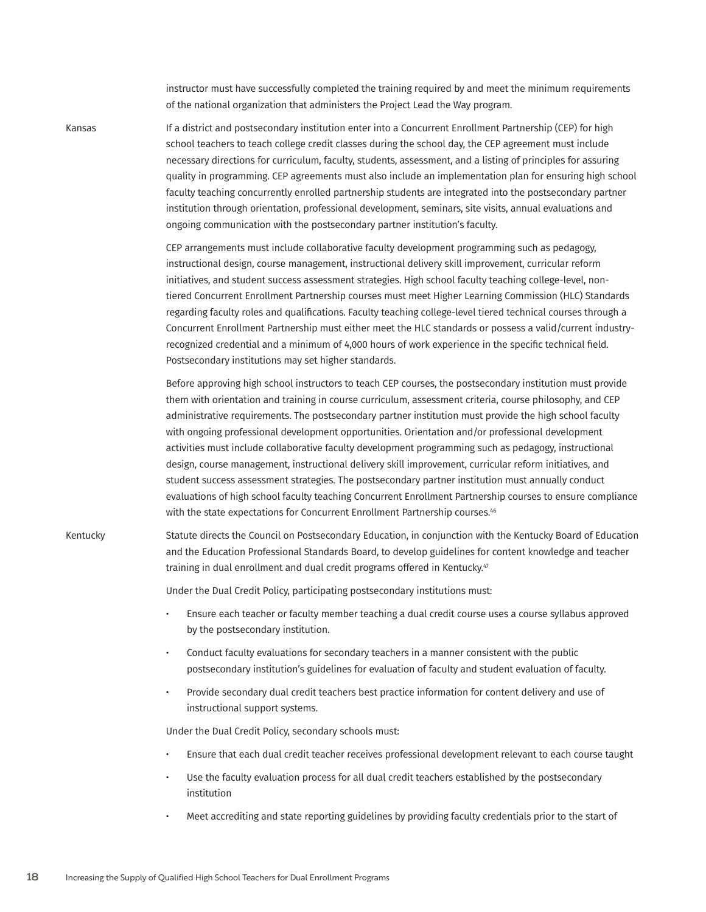instructor must have successfully completed the training required by and meet the minimum requirements of the national organization that administers the Project Lead the Way program.

Kansas **If a district and postsecondary institution enter into a Concurrent Enrollment Partnership (CEP) for high** school teachers to teach college credit classes during the school day, the CEP agreement must include necessary directions for curriculum, faculty, students, assessment, and a listing of principles for assuring quality in programming. CEP agreements must also include an implementation plan for ensuring high school faculty teaching concurrently enrolled partnership students are integrated into the postsecondary partner institution through orientation, professional development, seminars, site visits, annual evaluations and ongoing communication with the postsecondary partner institution's faculty.

> CEP arrangements must include collaborative faculty development programming such as pedagogy, instructional design, course management, instructional delivery skill improvement, curricular reform initiatives, and student success assessment strategies. High school faculty teaching college-level, nontiered Concurrent Enrollment Partnership courses must meet Higher Learning Commission (HLC) Standards regarding faculty roles and qualifications. Faculty teaching college-level tiered technical courses through a Concurrent Enrollment Partnership must either meet the HLC standards or possess a valid/current industryrecognized credential and a minimum of 4,000 hours of work experience in the specific technical field. Postsecondary institutions may set higher standards.

> Before approving high school instructors to teach CEP courses, the postsecondary institution must provide them with orientation and training in course curriculum, assessment criteria, course philosophy, and CEP administrative requirements. The postsecondary partner institution must provide the high school faculty with ongoing professional development opportunities. Orientation and/or professional development activities must include collaborative faculty development programming such as pedagogy, instructional design, course management, instructional delivery skill improvement, curricular reform initiatives, and student success assessment strategies. The postsecondary partner institution must annually conduct evaluations of high school faculty teaching Concurrent Enrollment Partnership courses to ensure compliance with the state expectations for Concurrent Enrollment Partnership courses.<sup>46</sup>

Kentucky Statute directs the Council on Postsecondary Education, in conjunction with the Kentucky Board of Education and the Education Professional Standards Board, to develop guidelines for content knowledge and teacher training in dual enrollment and dual credit programs offered in Kentucky.<sup>47</sup>

Under the Dual Credit Policy, participating postsecondary institutions must:

- Ensure each teacher or faculty member teaching a dual credit course uses a course syllabus approved by the postsecondary institution.
- Conduct faculty evaluations for secondary teachers in a manner consistent with the public postsecondary institution's guidelines for evaluation of faculty and student evaluation of faculty.
- Provide secondary dual credit teachers best practice information for content delivery and use of instructional support systems.

Under the Dual Credit Policy, secondary schools must:

- Ensure that each dual credit teacher receives professional development relevant to each course taught
- Use the faculty evaluation process for all dual credit teachers established by the postsecondary institution
- Meet accrediting and state reporting guidelines by providing faculty credentials prior to the start of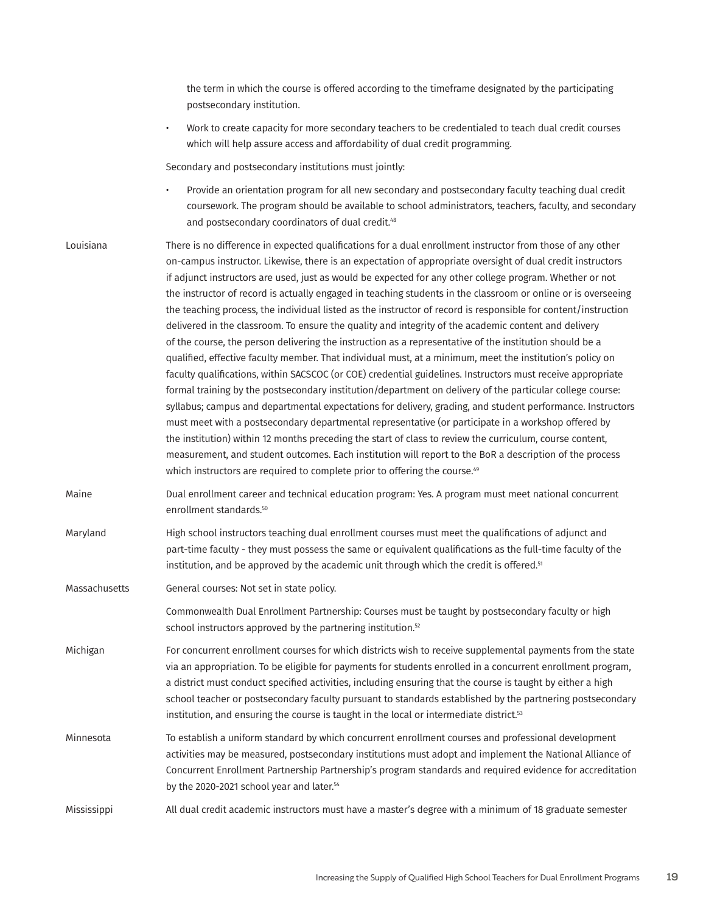|               | the term in which the course is offered according to the timeframe designated by the participating<br>postsecondary institution.                                                                                                                                                                                                                                                                                                                                                                                                                                                                                                                                                                                                                                                                                                                                                                                                                                                                                                                                                                                                                                                                                                                                                                                                                                                                                                                                                                                                                                                                                                                                           |
|---------------|----------------------------------------------------------------------------------------------------------------------------------------------------------------------------------------------------------------------------------------------------------------------------------------------------------------------------------------------------------------------------------------------------------------------------------------------------------------------------------------------------------------------------------------------------------------------------------------------------------------------------------------------------------------------------------------------------------------------------------------------------------------------------------------------------------------------------------------------------------------------------------------------------------------------------------------------------------------------------------------------------------------------------------------------------------------------------------------------------------------------------------------------------------------------------------------------------------------------------------------------------------------------------------------------------------------------------------------------------------------------------------------------------------------------------------------------------------------------------------------------------------------------------------------------------------------------------------------------------------------------------------------------------------------------------|
|               | Work to create capacity for more secondary teachers to be credentialed to teach dual credit courses<br>$\bullet$<br>which will help assure access and affordability of dual credit programming.                                                                                                                                                                                                                                                                                                                                                                                                                                                                                                                                                                                                                                                                                                                                                                                                                                                                                                                                                                                                                                                                                                                                                                                                                                                                                                                                                                                                                                                                            |
|               | Secondary and postsecondary institutions must jointly:                                                                                                                                                                                                                                                                                                                                                                                                                                                                                                                                                                                                                                                                                                                                                                                                                                                                                                                                                                                                                                                                                                                                                                                                                                                                                                                                                                                                                                                                                                                                                                                                                     |
|               | Provide an orientation program for all new secondary and postsecondary faculty teaching dual credit<br>$\bullet$<br>coursework. The program should be available to school administrators, teachers, faculty, and secondary<br>and postsecondary coordinators of dual credit. <sup>48</sup>                                                                                                                                                                                                                                                                                                                                                                                                                                                                                                                                                                                                                                                                                                                                                                                                                                                                                                                                                                                                                                                                                                                                                                                                                                                                                                                                                                                 |
| Louisiana     | There is no difference in expected qualifications for a dual enrollment instructor from those of any other<br>on-campus instructor. Likewise, there is an expectation of appropriate oversight of dual credit instructors<br>if adjunct instructors are used, just as would be expected for any other college program. Whether or not<br>the instructor of record is actually engaged in teaching students in the classroom or online or is overseeing<br>the teaching process, the individual listed as the instructor of record is responsible for content/instruction<br>delivered in the classroom. To ensure the quality and integrity of the academic content and delivery<br>of the course, the person delivering the instruction as a representative of the institution should be a<br>qualified, effective faculty member. That individual must, at a minimum, meet the institution's policy on<br>faculty qualifications, within SACSCOC (or COE) credential guidelines. Instructors must receive appropriate<br>formal training by the postsecondary institution/department on delivery of the particular college course:<br>syllabus; campus and departmental expectations for delivery, grading, and student performance. Instructors<br>must meet with a postsecondary departmental representative (or participate in a workshop offered by<br>the institution) within 12 months preceding the start of class to review the curriculum, course content,<br>measurement, and student outcomes. Each institution will report to the BoR a description of the process<br>which instructors are required to complete prior to offering the course. <sup>49</sup> |
| Maine         | Dual enrollment career and technical education program: Yes. A program must meet national concurrent<br>enrollment standards. <sup>50</sup>                                                                                                                                                                                                                                                                                                                                                                                                                                                                                                                                                                                                                                                                                                                                                                                                                                                                                                                                                                                                                                                                                                                                                                                                                                                                                                                                                                                                                                                                                                                                |
| Maryland      | High school instructors teaching dual enrollment courses must meet the qualifications of adjunct and<br>part-time faculty - they must possess the same or equivalent qualifications as the full-time faculty of the<br>institution, and be approved by the academic unit through which the credit is offered. <sup>51</sup>                                                                                                                                                                                                                                                                                                                                                                                                                                                                                                                                                                                                                                                                                                                                                                                                                                                                                                                                                                                                                                                                                                                                                                                                                                                                                                                                                |
| Massachusetts | General courses: Not set in state policy.                                                                                                                                                                                                                                                                                                                                                                                                                                                                                                                                                                                                                                                                                                                                                                                                                                                                                                                                                                                                                                                                                                                                                                                                                                                                                                                                                                                                                                                                                                                                                                                                                                  |
|               | Commonwealth Dual Enrollment Partnership: Courses must be taught by postsecondary faculty or high<br>school instructors approved by the partnering institution. <sup>52</sup>                                                                                                                                                                                                                                                                                                                                                                                                                                                                                                                                                                                                                                                                                                                                                                                                                                                                                                                                                                                                                                                                                                                                                                                                                                                                                                                                                                                                                                                                                              |
| Michigan      | For concurrent enrollment courses for which districts wish to receive supplemental payments from the state<br>via an appropriation. To be eligible for payments for students enrolled in a concurrent enrollment program,<br>a district must conduct specified activities, including ensuring that the course is taught by either a high<br>school teacher or postsecondary faculty pursuant to standards established by the partnering postsecondary<br>institution, and ensuring the course is taught in the local or intermediate district. <sup>53</sup>                                                                                                                                                                                                                                                                                                                                                                                                                                                                                                                                                                                                                                                                                                                                                                                                                                                                                                                                                                                                                                                                                                               |
| Minnesota     | To establish a uniform standard by which concurrent enrollment courses and professional development<br>activities may be measured, postsecondary institutions must adopt and implement the National Alliance of<br>Concurrent Enrollment Partnership Partnership's program standards and required evidence for accreditation<br>by the 2020-2021 school year and later. <sup>54</sup>                                                                                                                                                                                                                                                                                                                                                                                                                                                                                                                                                                                                                                                                                                                                                                                                                                                                                                                                                                                                                                                                                                                                                                                                                                                                                      |
| Mississippi   | All dual credit academic instructors must have a master's degree with a minimum of 18 graduate semester                                                                                                                                                                                                                                                                                                                                                                                                                                                                                                                                                                                                                                                                                                                                                                                                                                                                                                                                                                                                                                                                                                                                                                                                                                                                                                                                                                                                                                                                                                                                                                    |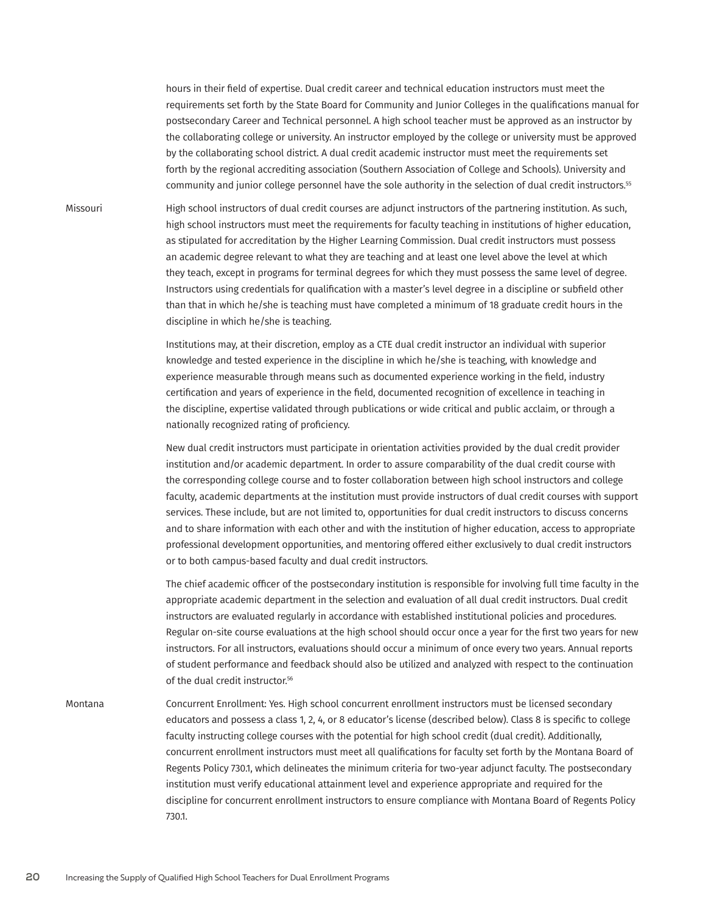hours in their field of expertise. Dual credit career and technical education instructors must meet the requirements set forth by the State Board for Community and Junior Colleges in the qualifications manual for postsecondary Career and Technical personnel. A high school teacher must be approved as an instructor by the collaborating college or university. An instructor employed by the college or university must be approved by the collaborating school district. A dual credit academic instructor must meet the requirements set forth by the regional accrediting association (Southern Association of College and Schools). University and community and junior college personnel have the sole authority in the selection of dual credit instructors.<sup>55</sup>

Missouri High school instructors of dual credit courses are adjunct instructors of the partnering institution. As such, high school instructors must meet the requirements for faculty teaching in institutions of higher education, as stipulated for accreditation by the Higher Learning Commission. Dual credit instructors must possess an academic degree relevant to what they are teaching and at least one level above the level at which they teach, except in programs for terminal degrees for which they must possess the same level of degree. Instructors using credentials for qualification with a master's level degree in a discipline or subfield other than that in which he/she is teaching must have completed a minimum of 18 graduate credit hours in the discipline in which he/she is teaching.

> Institutions may, at their discretion, employ as a CTE dual credit instructor an individual with superior knowledge and tested experience in the discipline in which he/she is teaching, with knowledge and experience measurable through means such as documented experience working in the field, industry certification and years of experience in the field, documented recognition of excellence in teaching in the discipline, expertise validated through publications or wide critical and public acclaim, or through a nationally recognized rating of proficiency.

New dual credit instructors must participate in orientation activities provided by the dual credit provider institution and/or academic department. In order to assure comparability of the dual credit course with the corresponding college course and to foster collaboration between high school instructors and college faculty, academic departments at the institution must provide instructors of dual credit courses with support services. These include, but are not limited to, opportunities for dual credit instructors to discuss concerns and to share information with each other and with the institution of higher education, access to appropriate professional development opportunities, and mentoring offered either exclusively to dual credit instructors or to both campus-based faculty and dual credit instructors.

The chief academic officer of the postsecondary institution is responsible for involving full time faculty in the appropriate academic department in the selection and evaluation of all dual credit instructors. Dual credit instructors are evaluated regularly in accordance with established institutional policies and procedures. Regular on-site course evaluations at the high school should occur once a year for the first two years for new instructors. For all instructors, evaluations should occur a minimum of once every two years. Annual reports of student performance and feedback should also be utilized and analyzed with respect to the continuation of the dual credit instructor.<sup>56</sup>

Montana Concurrent Enrollment: Yes. High school concurrent enrollment instructors must be licensed secondary educators and possess a class 1, 2, 4, or 8 educator's license (described below). Class 8 is specific to college faculty instructing college courses with the potential for high school credit (dual credit). Additionally, concurrent enrollment instructors must meet all qualifications for faculty set forth by the Montana Board of Regents Policy 730.1, which delineates the minimum criteria for two-year adjunct faculty. The postsecondary institution must verify educational attainment level and experience appropriate and required for the discipline for concurrent enrollment instructors to ensure compliance with Montana Board of Regents Policy 730.1.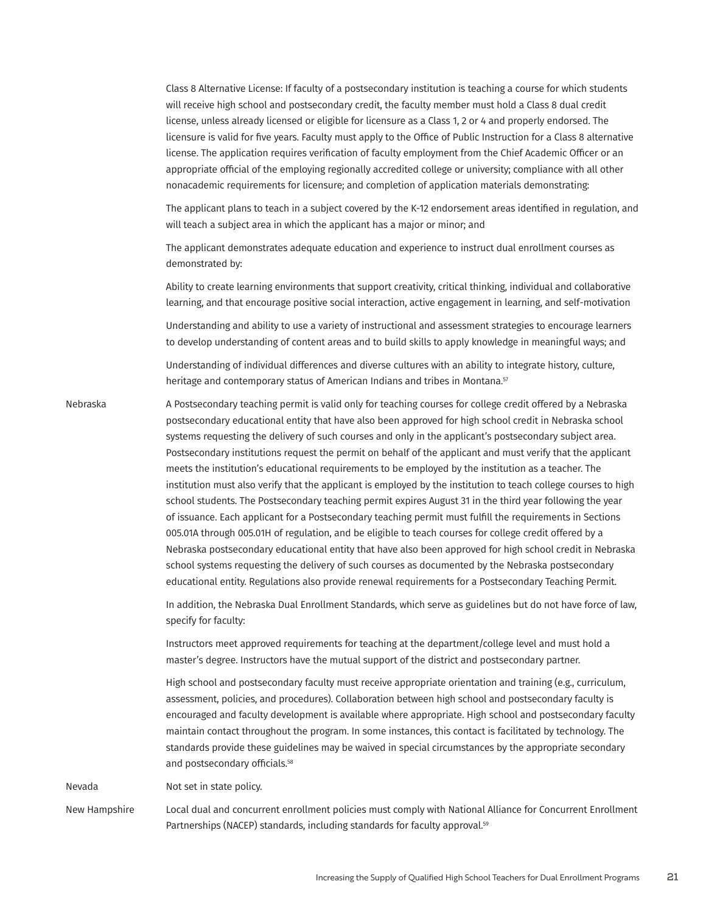Class 8 Alternative License: If faculty of a postsecondary institution is teaching a course for which students will receive high school and postsecondary credit, the faculty member must hold a Class 8 dual credit license, unless already licensed or eligible for licensure as a Class 1, 2 or 4 and properly endorsed. The licensure is valid for five years. Faculty must apply to the Office of Public Instruction for a Class 8 alternative license. The application requires verification of faculty employment from the Chief Academic Officer or an appropriate official of the employing regionally accredited college or university; compliance with all other nonacademic requirements for licensure; and completion of application materials demonstrating:

The applicant plans to teach in a subject covered by the K-12 endorsement areas identified in regulation, and will teach a subject area in which the applicant has a major or minor; and

The applicant demonstrates adequate education and experience to instruct dual enrollment courses as demonstrated by:

Ability to create learning environments that support creativity, critical thinking, individual and collaborative learning, and that encourage positive social interaction, active engagement in learning, and self-motivation

Understanding and ability to use a variety of instructional and assessment strategies to encourage learners to develop understanding of content areas and to build skills to apply knowledge in meaningful ways; and

Understanding of individual differences and diverse cultures with an ability to integrate history, culture, heritage and contemporary status of American Indians and tribes in Montana.<sup>57</sup>

Nebraska A Postsecondary teaching permit is valid only for teaching courses for college credit offered by a Nebraska postsecondary educational entity that have also been approved for high school credit in Nebraska school systems requesting the delivery of such courses and only in the applicant's postsecondary subject area. Postsecondary institutions request the permit on behalf of the applicant and must verify that the applicant meets the institution's educational requirements to be employed by the institution as a teacher. The institution must also verify that the applicant is employed by the institution to teach college courses to high school students. The Postsecondary teaching permit expires August 31 in the third year following the year of issuance. Each applicant for a Postsecondary teaching permit must fulfill the requirements in Sections 005.01A through 005.01H of regulation, and be eligible to teach courses for college credit offered by a Nebraska postsecondary educational entity that have also been approved for high school credit in Nebraska school systems requesting the delivery of such courses as documented by the Nebraska postsecondary educational entity. Regulations also provide renewal requirements for a Postsecondary Teaching Permit.

> In addition, the Nebraska Dual Enrollment Standards, which serve as guidelines but do not have force of law, specify for faculty:

Instructors meet approved requirements for teaching at the department/college level and must hold a master's degree. Instructors have the mutual support of the district and postsecondary partner.

High school and postsecondary faculty must receive appropriate orientation and training (e.g., curriculum, assessment, policies, and procedures). Collaboration between high school and postsecondary faculty is encouraged and faculty development is available where appropriate. High school and postsecondary faculty maintain contact throughout the program. In some instances, this contact is facilitated by technology. The standards provide these guidelines may be waived in special circumstances by the appropriate secondary and postsecondary officials.<sup>58</sup>

Nevada Not set in state policy.

New Hampshire Local dual and concurrent enrollment policies must comply with National Alliance for Concurrent Enrollment Partnerships (NACEP) standards, including standards for faculty approval.<sup>59</sup>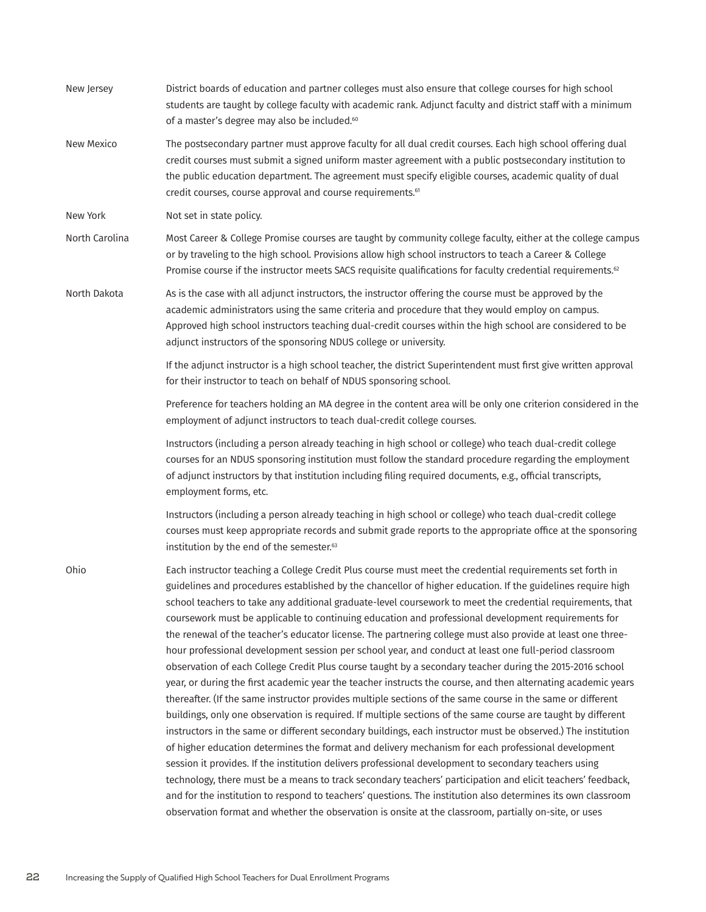| New Jersey     | District boards of education and partner colleges must also ensure that college courses for high school<br>students are taught by college faculty with academic rank. Adjunct faculty and district staff with a minimum<br>of a master's degree may also be included. <sup>60</sup>                                                                                                                                                                                                                                                                                                                                                                                                                                                                                                                                                                                                                                                                                                                                                                                                                                                                                                                                                                                                                                                                                                                                                                                                                                                                                                                                                                                                                                                                                                                    |
|----------------|--------------------------------------------------------------------------------------------------------------------------------------------------------------------------------------------------------------------------------------------------------------------------------------------------------------------------------------------------------------------------------------------------------------------------------------------------------------------------------------------------------------------------------------------------------------------------------------------------------------------------------------------------------------------------------------------------------------------------------------------------------------------------------------------------------------------------------------------------------------------------------------------------------------------------------------------------------------------------------------------------------------------------------------------------------------------------------------------------------------------------------------------------------------------------------------------------------------------------------------------------------------------------------------------------------------------------------------------------------------------------------------------------------------------------------------------------------------------------------------------------------------------------------------------------------------------------------------------------------------------------------------------------------------------------------------------------------------------------------------------------------------------------------------------------------|
| New Mexico     | The postsecondary partner must approve faculty for all dual credit courses. Each high school offering dual<br>credit courses must submit a signed uniform master agreement with a public postsecondary institution to<br>the public education department. The agreement must specify eligible courses, academic quality of dual<br>credit courses, course approval and course requirements. <sup>61</sup>                                                                                                                                                                                                                                                                                                                                                                                                                                                                                                                                                                                                                                                                                                                                                                                                                                                                                                                                                                                                                                                                                                                                                                                                                                                                                                                                                                                              |
| New York       | Not set in state policy.                                                                                                                                                                                                                                                                                                                                                                                                                                                                                                                                                                                                                                                                                                                                                                                                                                                                                                                                                                                                                                                                                                                                                                                                                                                                                                                                                                                                                                                                                                                                                                                                                                                                                                                                                                               |
| North Carolina | Most Career & College Promise courses are taught by community college faculty, either at the college campus<br>or by traveling to the high school. Provisions allow high school instructors to teach a Career & College<br>Promise course if the instructor meets SACS requisite qualifications for faculty credential requirements. <sup>62</sup>                                                                                                                                                                                                                                                                                                                                                                                                                                                                                                                                                                                                                                                                                                                                                                                                                                                                                                                                                                                                                                                                                                                                                                                                                                                                                                                                                                                                                                                     |
| North Dakota   | As is the case with all adjunct instructors, the instructor offering the course must be approved by the<br>academic administrators using the same criteria and procedure that they would employ on campus.<br>Approved high school instructors teaching dual-credit courses within the high school are considered to be<br>adjunct instructors of the sponsoring NDUS college or university.                                                                                                                                                                                                                                                                                                                                                                                                                                                                                                                                                                                                                                                                                                                                                                                                                                                                                                                                                                                                                                                                                                                                                                                                                                                                                                                                                                                                           |
|                | If the adjunct instructor is a high school teacher, the district Superintendent must first give written approval<br>for their instructor to teach on behalf of NDUS sponsoring school.                                                                                                                                                                                                                                                                                                                                                                                                                                                                                                                                                                                                                                                                                                                                                                                                                                                                                                                                                                                                                                                                                                                                                                                                                                                                                                                                                                                                                                                                                                                                                                                                                 |
|                | Preference for teachers holding an MA degree in the content area will be only one criterion considered in the<br>employment of adjunct instructors to teach dual-credit college courses.                                                                                                                                                                                                                                                                                                                                                                                                                                                                                                                                                                                                                                                                                                                                                                                                                                                                                                                                                                                                                                                                                                                                                                                                                                                                                                                                                                                                                                                                                                                                                                                                               |
|                | Instructors (including a person already teaching in high school or college) who teach dual-credit college<br>courses for an NDUS sponsoring institution must follow the standard procedure regarding the employment<br>of adjunct instructors by that institution including filing required documents, e.g., official transcripts,<br>employment forms, etc.                                                                                                                                                                                                                                                                                                                                                                                                                                                                                                                                                                                                                                                                                                                                                                                                                                                                                                                                                                                                                                                                                                                                                                                                                                                                                                                                                                                                                                           |
|                | Instructors (including a person already teaching in high school or college) who teach dual-credit college<br>courses must keep appropriate records and submit grade reports to the appropriate office at the sponsoring<br>institution by the end of the semester. <sup>63</sup>                                                                                                                                                                                                                                                                                                                                                                                                                                                                                                                                                                                                                                                                                                                                                                                                                                                                                                                                                                                                                                                                                                                                                                                                                                                                                                                                                                                                                                                                                                                       |
| Ohio           | Each instructor teaching a College Credit Plus course must meet the credential requirements set forth in<br>guidelines and procedures established by the chancellor of higher education. If the guidelines require high<br>school teachers to take any additional graduate-level coursework to meet the credential requirements, that<br>coursework must be applicable to continuing education and professional development requirements for<br>the renewal of the teacher's educator license. The partnering college must also provide at least one three-<br>hour professional development session per school year, and conduct at least one full-period classroom<br>observation of each College Credit Plus course taught by a secondary teacher during the 2015-2016 school<br>year, or during the first academic year the teacher instructs the course, and then alternating academic years<br>thereafter. (If the same instructor provides multiple sections of the same course in the same or different<br>buildings, only one observation is required. If multiple sections of the same course are taught by different<br>instructors in the same or different secondary buildings, each instructor must be observed.) The institution<br>of higher education determines the format and delivery mechanism for each professional development<br>session it provides. If the institution delivers professional development to secondary teachers using<br>technology, there must be a means to track secondary teachers' participation and elicit teachers' feedback,<br>and for the institution to respond to teachers' questions. The institution also determines its own classroom<br>observation format and whether the observation is onsite at the classroom, partially on-site, or uses |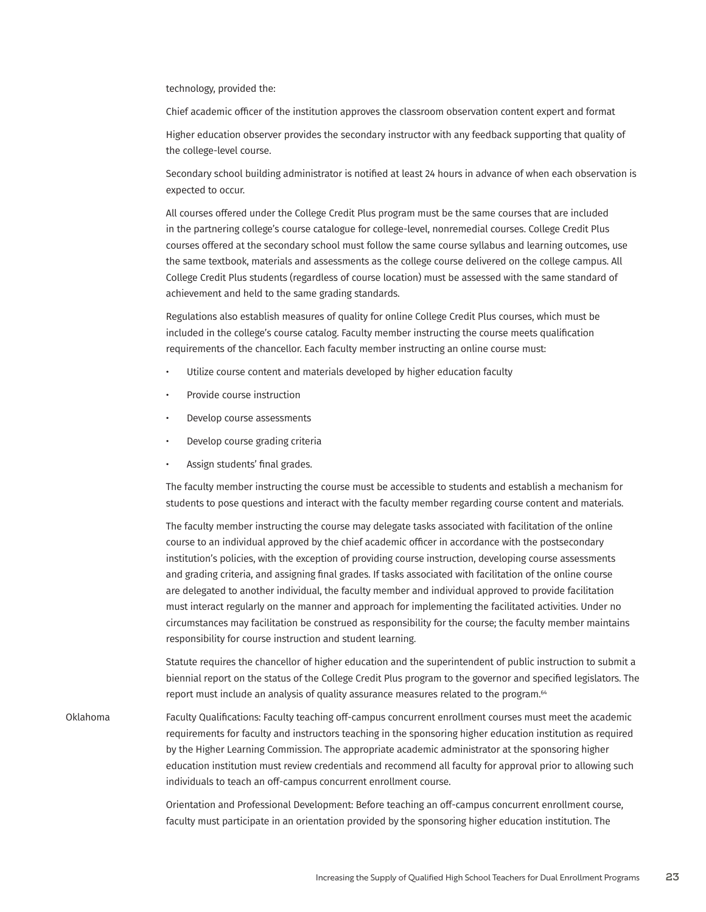technology, provided the:

Chief academic officer of the institution approves the classroom observation content expert and format

Higher education observer provides the secondary instructor with any feedback supporting that quality of the college-level course.

Secondary school building administrator is notified at least 24 hours in advance of when each observation is expected to occur.

All courses offered under the College Credit Plus program must be the same courses that are included in the partnering college's course catalogue for college-level, nonremedial courses. College Credit Plus courses offered at the secondary school must follow the same course syllabus and learning outcomes, use the same textbook, materials and assessments as the college course delivered on the college campus. All College Credit Plus students (regardless of course location) must be assessed with the same standard of achievement and held to the same grading standards.

Regulations also establish measures of quality for online College Credit Plus courses, which must be included in the college's course catalog. Faculty member instructing the course meets qualification requirements of the chancellor. Each faculty member instructing an online course must:

- Utilize course content and materials developed by higher education faculty
- Provide course instruction
- Develop course assessments
- Develop course grading criteria
- Assign students' final grades.

The faculty member instructing the course must be accessible to students and establish a mechanism for students to pose questions and interact with the faculty member regarding course content and materials.

The faculty member instructing the course may delegate tasks associated with facilitation of the online course to an individual approved by the chief academic officer in accordance with the postsecondary institution's policies, with the exception of providing course instruction, developing course assessments and grading criteria, and assigning final grades. If tasks associated with facilitation of the online course are delegated to another individual, the faculty member and individual approved to provide facilitation must interact regularly on the manner and approach for implementing the facilitated activities. Under no circumstances may facilitation be construed as responsibility for the course; the faculty member maintains responsibility for course instruction and student learning.

Statute requires the chancellor of higher education and the superintendent of public instruction to submit a biennial report on the status of the College Credit Plus program to the governor and specified legislators. The report must include an analysis of quality assurance measures related to the program.<sup>64</sup>

Oklahoma Faculty Qualifications: Faculty teaching off-campus concurrent enrollment courses must meet the academic requirements for faculty and instructors teaching in the sponsoring higher education institution as required by the Higher Learning Commission. The appropriate academic administrator at the sponsoring higher education institution must review credentials and recommend all faculty for approval prior to allowing such individuals to teach an off-campus concurrent enrollment course.

> Orientation and Professional Development: Before teaching an off-campus concurrent enrollment course, faculty must participate in an orientation provided by the sponsoring higher education institution. The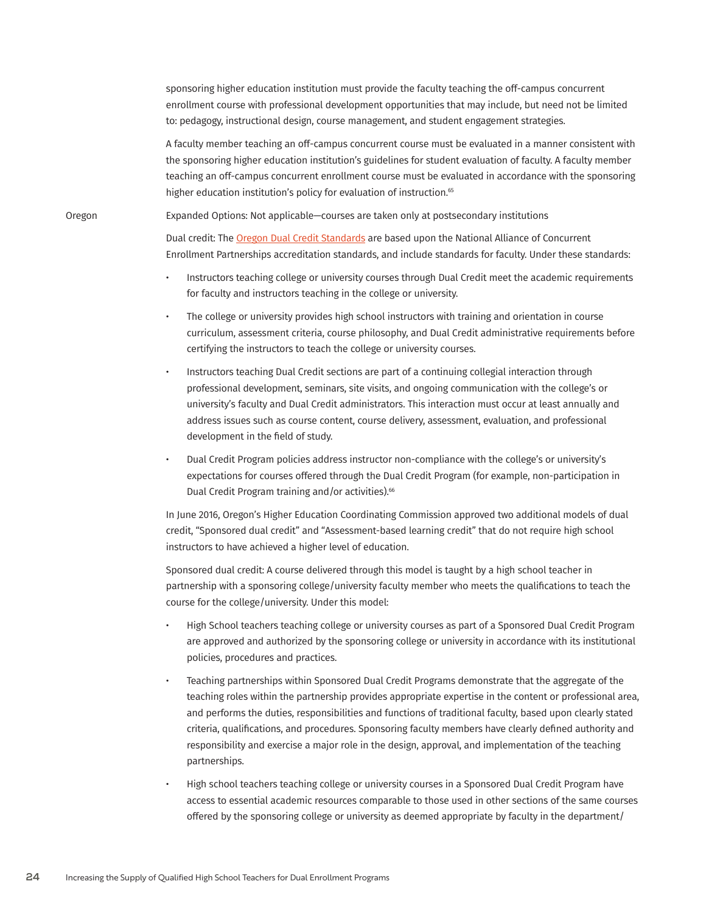sponsoring higher education institution must provide the faculty teaching the off-campus concurrent enrollment course with professional development opportunities that may include, but need not be limited to: pedagogy, instructional design, course management, and student engagement strategies.

A faculty member teaching an off-campus concurrent course must be evaluated in a manner consistent with the sponsoring higher education institution's guidelines for student evaluation of faculty. A faculty member teaching an off-campus concurrent enrollment course must be evaluated in accordance with the sponsoring higher education institution's policy for evaluation of instruction.<sup>65</sup>

Oregon Expanded Options: Not applicable—courses are taken only at postsecondary institutions

Dual credit: The [Oregon Dual Credit Standards](http://www.ode.state.or.us/teachlearn/subjects/postsecondary/dualcredit/oregon_dual_credit_standards_2014.pdf) are based upon the National Alliance of Concurrent Enrollment Partnerships accreditation standards, and include standards for faculty. Under these standards:

- Instructors teaching college or university courses through Dual Credit meet the academic requirements for faculty and instructors teaching in the college or university.
- The college or university provides high school instructors with training and orientation in course curriculum, assessment criteria, course philosophy, and Dual Credit administrative requirements before certifying the instructors to teach the college or university courses.
- Instructors teaching Dual Credit sections are part of a continuing collegial interaction through professional development, seminars, site visits, and ongoing communication with the college's or university's faculty and Dual Credit administrators. This interaction must occur at least annually and address issues such as course content, course delivery, assessment, evaluation, and professional development in the field of study.
- Dual Credit Program policies address instructor non-compliance with the college's or university's expectations for courses offered through the Dual Credit Program (for example, non-participation in Dual Credit Program training and/or activities).<sup>66</sup>

In June 2016, Oregon's Higher Education Coordinating Commission approved two additional models of dual credit, "Sponsored dual credit" and "Assessment-based learning credit" that do not require high school instructors to have achieved a higher level of education.

Sponsored dual credit: A course delivered through this model is taught by a high school teacher in partnership with a sponsoring college/university faculty member who meets the qualifications to teach the course for the college/university. Under this model:

- High School teachers teaching college or university courses as part of a Sponsored Dual Credit Program are approved and authorized by the sponsoring college or university in accordance with its institutional policies, procedures and practices.
- Teaching partnerships within Sponsored Dual Credit Programs demonstrate that the aggregate of the teaching roles within the partnership provides appropriate expertise in the content or professional area, and performs the duties, responsibilities and functions of traditional faculty, based upon clearly stated criteria, qualifications, and procedures. Sponsoring faculty members have clearly defined authority and responsibility and exercise a major role in the design, approval, and implementation of the teaching partnerships.
- High school teachers teaching college or university courses in a Sponsored Dual Credit Program have access to essential academic resources comparable to those used in other sections of the same courses offered by the sponsoring college or university as deemed appropriate by faculty in the department/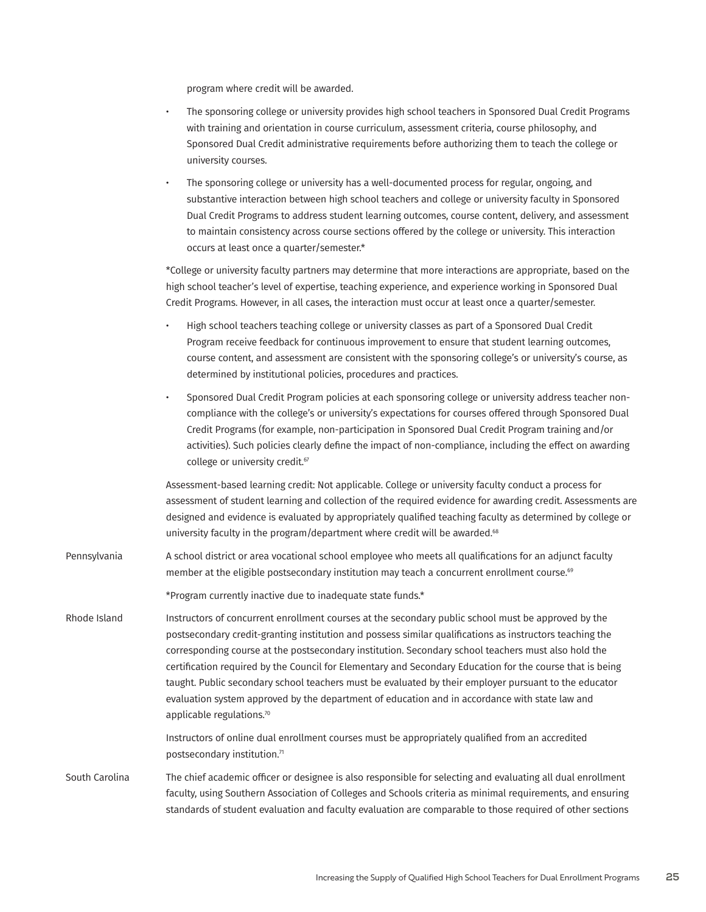program where credit will be awarded.

|                | The sponsoring college or university provides high school teachers in Sponsored Dual Credit Programs<br>with training and orientation in course curriculum, assessment criteria, course philosophy, and<br>Sponsored Dual Credit administrative requirements before authorizing them to teach the college or<br>university courses.                                                                                                                                                                                                                                                                                                                                         |
|----------------|-----------------------------------------------------------------------------------------------------------------------------------------------------------------------------------------------------------------------------------------------------------------------------------------------------------------------------------------------------------------------------------------------------------------------------------------------------------------------------------------------------------------------------------------------------------------------------------------------------------------------------------------------------------------------------|
|                | The sponsoring college or university has a well-documented process for regular, ongoing, and<br>$\bullet$<br>substantive interaction between high school teachers and college or university faculty in Sponsored<br>Dual Credit Programs to address student learning outcomes, course content, delivery, and assessment<br>to maintain consistency across course sections offered by the college or university. This interaction<br>occurs at least once a quarter/semester.*                                                                                                                                                                                               |
|                | *College or university faculty partners may determine that more interactions are appropriate, based on the<br>high school teacher's level of expertise, teaching experience, and experience working in Sponsored Dual<br>Credit Programs. However, in all cases, the interaction must occur at least once a quarter/semester.                                                                                                                                                                                                                                                                                                                                               |
|                | High school teachers teaching college or university classes as part of a Sponsored Dual Credit<br>$\bullet$<br>Program receive feedback for continuous improvement to ensure that student learning outcomes,<br>course content, and assessment are consistent with the sponsoring college's or university's course, as<br>determined by institutional policies, procedures and practices.                                                                                                                                                                                                                                                                                   |
|                | Sponsored Dual Credit Program policies at each sponsoring college or university address teacher non-<br>$\bullet$<br>compliance with the college's or university's expectations for courses offered through Sponsored Dual<br>Credit Programs (for example, non-participation in Sponsored Dual Credit Program training and/or<br>activities). Such policies clearly define the impact of non-compliance, including the effect on awarding<br>college or university credit. <sup>67</sup>                                                                                                                                                                                   |
|                | Assessment-based learning credit: Not applicable. College or university faculty conduct a process for<br>assessment of student learning and collection of the required evidence for awarding credit. Assessments are<br>designed and evidence is evaluated by appropriately qualified teaching faculty as determined by college or<br>university faculty in the program/department where credit will be awarded. <sup>68</sup>                                                                                                                                                                                                                                              |
| Pennsylvania   | A school district or area vocational school employee who meets all qualifications for an adjunct faculty<br>member at the eligible postsecondary institution may teach a concurrent enrollment course. <sup>69</sup>                                                                                                                                                                                                                                                                                                                                                                                                                                                        |
|                | *Program currently inactive due to inadequate state funds.*                                                                                                                                                                                                                                                                                                                                                                                                                                                                                                                                                                                                                 |
| Rhode Island   | Instructors of concurrent enrollment courses at the secondary public school must be approved by the<br>postsecondary credit-granting institution and possess similar qualifications as instructors teaching the<br>corresponding course at the postsecondary institution. Secondary school teachers must also hold the<br>certification required by the Council for Elementary and Secondary Education for the course that is being<br>taught. Public secondary school teachers must be evaluated by their employer pursuant to the educator<br>evaluation system approved by the department of education and in accordance with state law and<br>applicable regulations.70 |
|                | Instructors of online dual enrollment courses must be appropriately qualified from an accredited<br>postsecondary institution.71                                                                                                                                                                                                                                                                                                                                                                                                                                                                                                                                            |
| South Carolina | The chief academic officer or designee is also responsible for selecting and evaluating all dual enrollment<br>faculty, using Southern Association of Colleges and Schools criteria as minimal requirements, and ensuring<br>standards of student evaluation and faculty evaluation are comparable to those required of other sections                                                                                                                                                                                                                                                                                                                                      |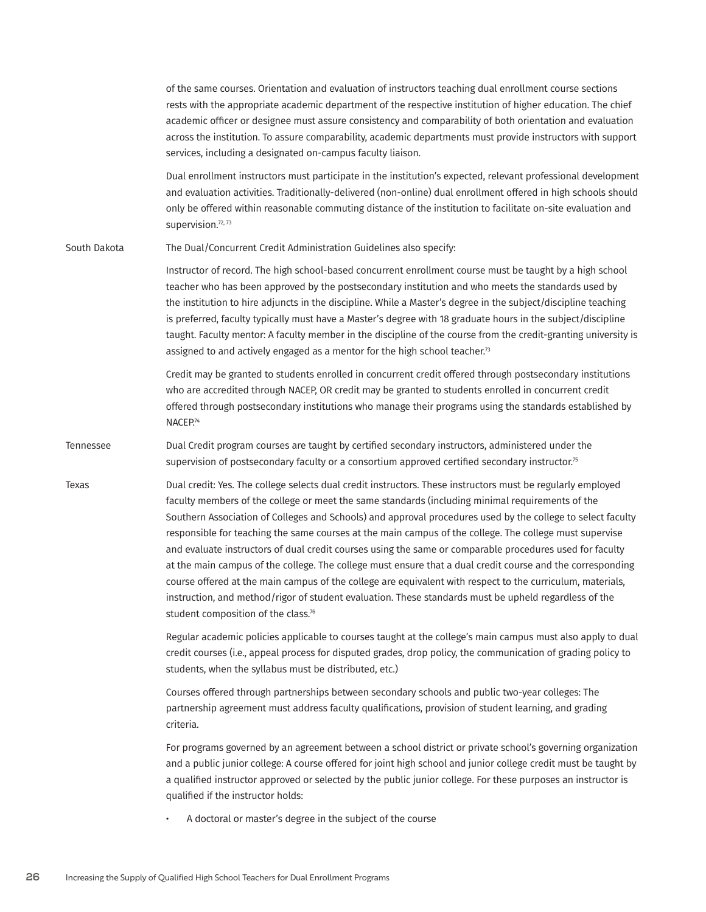|              | of the same courses. Orientation and evaluation of instructors teaching dual enrollment course sections<br>rests with the appropriate academic department of the respective institution of higher education. The chief<br>academic officer or designee must assure consistency and comparability of both orientation and evaluation<br>across the institution. To assure comparability, academic departments must provide instructors with support<br>services, including a designated on-campus faculty liaison.                                                                                                                                                                                                                                                                                                                                                                                                                 |
|--------------|-----------------------------------------------------------------------------------------------------------------------------------------------------------------------------------------------------------------------------------------------------------------------------------------------------------------------------------------------------------------------------------------------------------------------------------------------------------------------------------------------------------------------------------------------------------------------------------------------------------------------------------------------------------------------------------------------------------------------------------------------------------------------------------------------------------------------------------------------------------------------------------------------------------------------------------|
|              | Dual enrollment instructors must participate in the institution's expected, relevant professional development<br>and evaluation activities. Traditionally-delivered (non-online) dual enrollment offered in high schools should<br>only be offered within reasonable commuting distance of the institution to facilitate on-site evaluation and<br>supervision.72, 73                                                                                                                                                                                                                                                                                                                                                                                                                                                                                                                                                             |
| South Dakota | The Dual/Concurrent Credit Administration Guidelines also specify:                                                                                                                                                                                                                                                                                                                                                                                                                                                                                                                                                                                                                                                                                                                                                                                                                                                                |
|              | Instructor of record. The high school-based concurrent enrollment course must be taught by a high school<br>teacher who has been approved by the postsecondary institution and who meets the standards used by<br>the institution to hire adjuncts in the discipline. While a Master's degree in the subject/discipline teaching<br>is preferred, faculty typically must have a Master's degree with 18 graduate hours in the subject/discipline<br>taught. Faculty mentor: A faculty member in the discipline of the course from the credit-granting university is<br>assigned to and actively engaged as a mentor for the high school teacher. <sup>73</sup>                                                                                                                                                                                                                                                                    |
|              | Credit may be granted to students enrolled in concurrent credit offered through postsecondary institutions<br>who are accredited through NACEP, OR credit may be granted to students enrolled in concurrent credit<br>offered through postsecondary institutions who manage their programs using the standards established by<br>NACEP. <sup>74</sup>                                                                                                                                                                                                                                                                                                                                                                                                                                                                                                                                                                             |
| Tennessee    | Dual Credit program courses are taught by certified secondary instructors, administered under the<br>supervision of postsecondary faculty or a consortium approved certified secondary instructor. <sup>75</sup>                                                                                                                                                                                                                                                                                                                                                                                                                                                                                                                                                                                                                                                                                                                  |
| Texas        | Dual credit: Yes. The college selects dual credit instructors. These instructors must be regularly employed<br>faculty members of the college or meet the same standards (including minimal requirements of the<br>Southern Association of Colleges and Schools) and approval procedures used by the college to select faculty<br>responsible for teaching the same courses at the main campus of the college. The college must supervise<br>and evaluate instructors of dual credit courses using the same or comparable procedures used for faculty<br>at the main campus of the college. The college must ensure that a dual credit course and the corresponding<br>course offered at the main campus of the college are equivalent with respect to the curriculum, materials,<br>instruction, and method/rigor of student evaluation. These standards must be upheld regardless of the<br>student composition of the class.76 |
|              | Regular academic policies applicable to courses taught at the college's main campus must also apply to dual<br>credit courses (i.e., appeal process for disputed grades, drop policy, the communication of grading policy to<br>students, when the syllabus must be distributed, etc.)                                                                                                                                                                                                                                                                                                                                                                                                                                                                                                                                                                                                                                            |
|              | Courses offered through partnerships between secondary schools and public two-year colleges: The<br>partnership agreement must address faculty qualifications, provision of student learning, and grading<br>criteria.                                                                                                                                                                                                                                                                                                                                                                                                                                                                                                                                                                                                                                                                                                            |
|              | For programs governed by an agreement between a school district or private school's governing organization<br>and a public junior college: A course offered for joint high school and junior college credit must be taught by<br>a qualified instructor approved or selected by the public junior college. For these purposes an instructor is<br>qualified if the instructor holds:                                                                                                                                                                                                                                                                                                                                                                                                                                                                                                                                              |

• A doctoral or master's degree in the subject of the course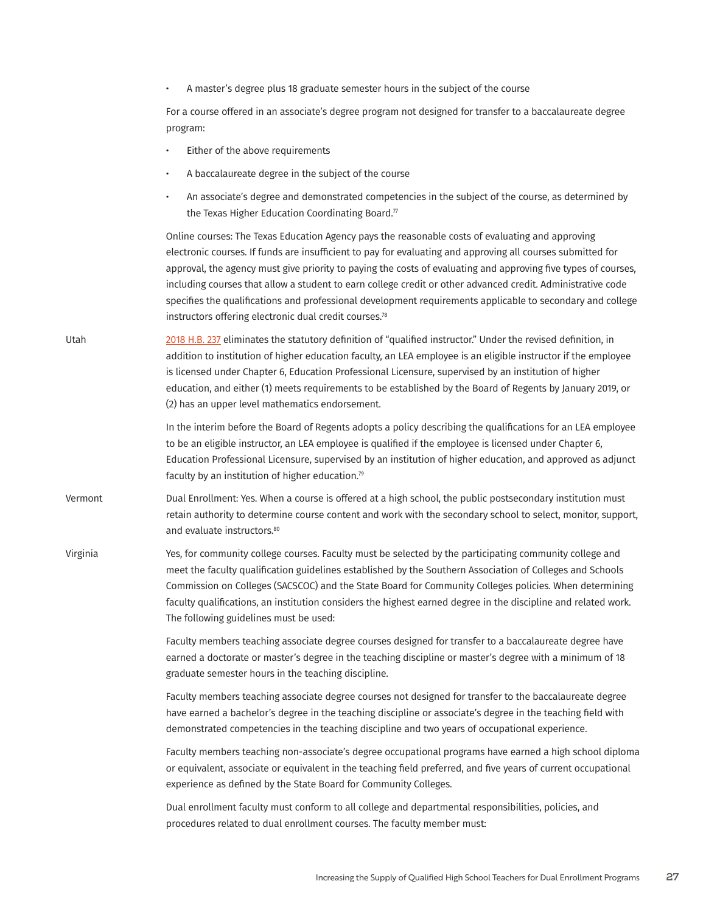• A master's degree plus 18 graduate semester hours in the subject of the course

For a course offered in an associate's degree program not designed for transfer to a baccalaureate degree program:

- Either of the above requirements
- A baccalaureate degree in the subject of the course
- An associate's degree and demonstrated competencies in the subject of the course, as determined by the Texas Higher Education Coordinating Board.<sup>77</sup>

Online courses: The Texas Education Agency pays the reasonable costs of evaluating and approving electronic courses. If funds are insufficient to pay for evaluating and approving all courses submitted for approval, the agency must give priority to paying the costs of evaluating and approving five types of courses, including courses that allow a student to earn college credit or other advanced credit. Administrative code specifies the qualifications and professional development requirements applicable to secondary and college instructors offering electronic dual credit courses.<sup>78</sup>

Utah [2018 H.B. 237](https://s3.amazonaws.com/fn-document-service/file-by-sha384/0ff37b21a3203e8c8f7aa81e3fdf0deac06acd19729cdbe73052bacbfb35a2c5af6e52e95123bc2ccfddbf05f0f32a09) eliminates the statutory definition of "qualified instructor." Under the revised definition, in addition to institution of higher education faculty, an LEA employee is an eligible instructor if the employee is licensed under Chapter 6, Education Professional Licensure, supervised by an institution of higher education, and either (1) meets requirements to be established by the Board of Regents by January 2019, or (2) has an upper level mathematics endorsement.

> In the interim before the Board of Regents adopts a policy describing the qualifications for an LEA employee to be an eligible instructor, an LEA employee is qualified if the employee is licensed under Chapter 6, Education Professional Licensure, supervised by an institution of higher education, and approved as adjunct faculty by an institution of higher education.79

- Vermont Dual Enrollment: Yes. When a course is offered at a high school, the public postsecondary institution must retain authority to determine course content and work with the secondary school to select, monitor, support, and evaluate instructors.<sup>80</sup>
- Virginia Yes, for community college courses. Faculty must be selected by the participating community college and meet the faculty qualification guidelines established by the Southern Association of Colleges and Schools Commission on Colleges (SACSCOC) and the State Board for Community Colleges policies. When determining faculty qualifications, an institution considers the highest earned degree in the discipline and related work. The following guidelines must be used:

Faculty members teaching associate degree courses designed for transfer to a baccalaureate degree have earned a doctorate or master's degree in the teaching discipline or master's degree with a minimum of 18 graduate semester hours in the teaching discipline.

Faculty members teaching associate degree courses not designed for transfer to the baccalaureate degree have earned a bachelor's degree in the teaching discipline or associate's degree in the teaching field with demonstrated competencies in the teaching discipline and two years of occupational experience.

Faculty members teaching non-associate's degree occupational programs have earned a high school diploma or equivalent, associate or equivalent in the teaching field preferred, and five years of current occupational experience as defined by the State Board for Community Colleges.

Dual enrollment faculty must conform to all college and departmental responsibilities, policies, and procedures related to dual enrollment courses. The faculty member must: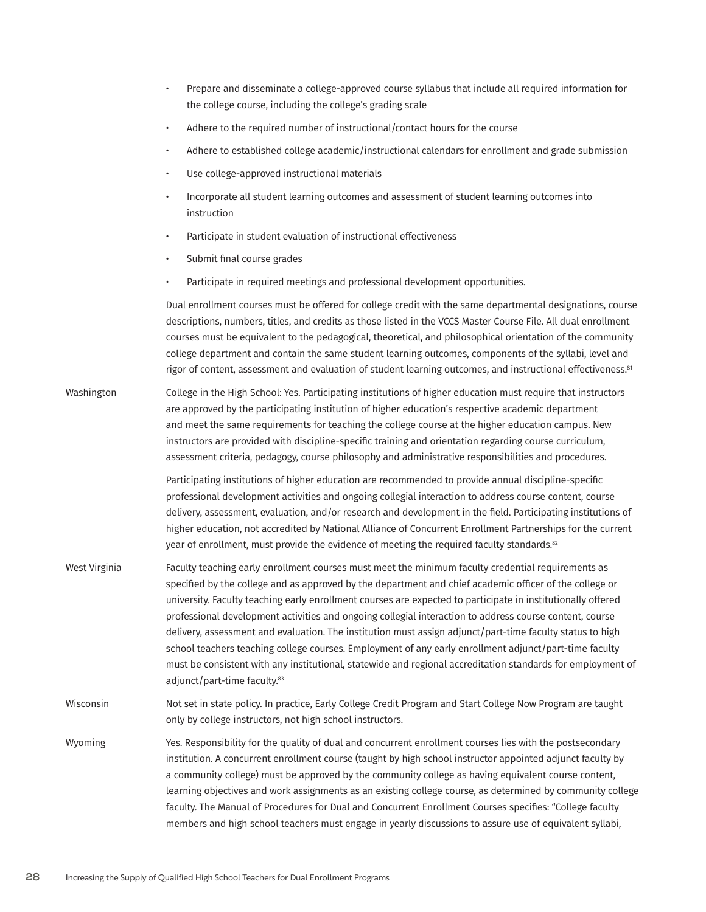|               | Prepare and disseminate a college-approved course syllabus that include all required information for<br>the college course, including the college's grading scale                                                                                                                                                                                                                                                                                                                                                                                                                                                                                                                                                                                                                                              |
|---------------|----------------------------------------------------------------------------------------------------------------------------------------------------------------------------------------------------------------------------------------------------------------------------------------------------------------------------------------------------------------------------------------------------------------------------------------------------------------------------------------------------------------------------------------------------------------------------------------------------------------------------------------------------------------------------------------------------------------------------------------------------------------------------------------------------------------|
|               | Adhere to the required number of instructional/contact hours for the course<br>$\bullet$                                                                                                                                                                                                                                                                                                                                                                                                                                                                                                                                                                                                                                                                                                                       |
|               | Adhere to established college academic/instructional calendars for enrollment and grade submission<br>$\bullet$                                                                                                                                                                                                                                                                                                                                                                                                                                                                                                                                                                                                                                                                                                |
|               | Use college-approved instructional materials<br>$\bullet$                                                                                                                                                                                                                                                                                                                                                                                                                                                                                                                                                                                                                                                                                                                                                      |
|               | Incorporate all student learning outcomes and assessment of student learning outcomes into<br>$\bullet$<br>instruction                                                                                                                                                                                                                                                                                                                                                                                                                                                                                                                                                                                                                                                                                         |
|               | Participate in student evaluation of instructional effectiveness<br>$\bullet$                                                                                                                                                                                                                                                                                                                                                                                                                                                                                                                                                                                                                                                                                                                                  |
|               | Submit final course grades<br>$\bullet$                                                                                                                                                                                                                                                                                                                                                                                                                                                                                                                                                                                                                                                                                                                                                                        |
|               | Participate in required meetings and professional development opportunities.<br>$\bullet$                                                                                                                                                                                                                                                                                                                                                                                                                                                                                                                                                                                                                                                                                                                      |
|               | Dual enrollment courses must be offered for college credit with the same departmental designations, course<br>descriptions, numbers, titles, and credits as those listed in the VCCS Master Course File. All dual enrollment<br>courses must be equivalent to the pedagogical, theoretical, and philosophical orientation of the community<br>college department and contain the same student learning outcomes, components of the syllabi, level and<br>rigor of content, assessment and evaluation of student learning outcomes, and instructional effectiveness. <sup>81</sup>                                                                                                                                                                                                                              |
| Washington    | College in the High School: Yes. Participating institutions of higher education must require that instructors<br>are approved by the participating institution of higher education's respective academic department<br>and meet the same requirements for teaching the college course at the higher education campus. New<br>instructors are provided with discipline-specific training and orientation regarding course curriculum,<br>assessment criteria, pedagogy, course philosophy and administrative responsibilities and procedures.                                                                                                                                                                                                                                                                   |
|               | Participating institutions of higher education are recommended to provide annual discipline-specific<br>professional development activities and ongoing collegial interaction to address course content, course<br>delivery, assessment, evaluation, and/or research and development in the field. Participating institutions of<br>higher education, not accredited by National Alliance of Concurrent Enrollment Partnerships for the current<br>year of enrollment, must provide the evidence of meeting the required faculty standards. <sup>82</sup>                                                                                                                                                                                                                                                      |
| West Virginia | Faculty teaching early enrollment courses must meet the minimum faculty credential requirements as<br>specified by the college and as approved by the department and chief academic officer of the college or<br>university. Faculty teaching early enrollment courses are expected to participate in institutionally offered<br>professional development activities and ongoing collegial interaction to address course content, course<br>delivery, assessment and evaluation. The institution must assign adjunct/part-time faculty status to high<br>school teachers teaching college courses. Employment of any early enrollment adjunct/part-time faculty<br>must be consistent with any institutional, statewide and regional accreditation standards for employment of<br>adjunct/part-time faculty.83 |
| Wisconsin     | Not set in state policy. In practice, Early College Credit Program and Start College Now Program are taught<br>only by college instructors, not high school instructors.                                                                                                                                                                                                                                                                                                                                                                                                                                                                                                                                                                                                                                       |
| Wyoming       | Yes. Responsibility for the quality of dual and concurrent enrollment courses lies with the postsecondary<br>institution. A concurrent enrollment course (taught by high school instructor appointed adjunct faculty by<br>a community college) must be approved by the community college as having equivalent course content,<br>learning objectives and work assignments as an existing college course, as determined by community college<br>faculty. The Manual of Procedures for Dual and Concurrent Enrollment Courses specifies: "College faculty<br>members and high school teachers must engage in yearly discussions to assure use of equivalent syllabi,                                                                                                                                            |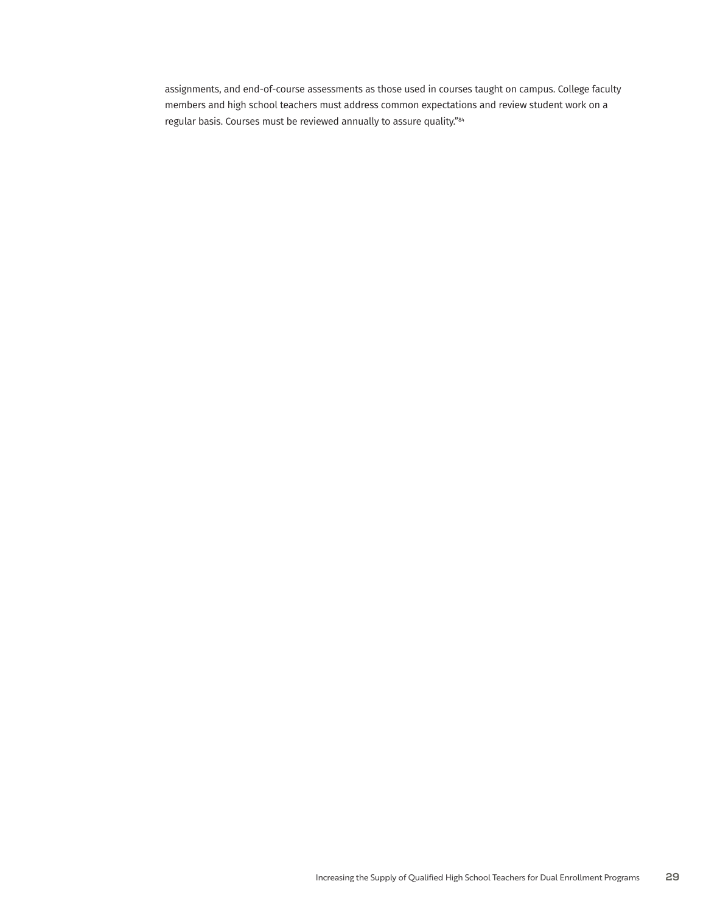assignments, and end-of-course assessments as those used in courses taught on campus. College faculty members and high school teachers must address common expectations and review student work on a regular basis. Courses must be reviewed annually to assure quality."84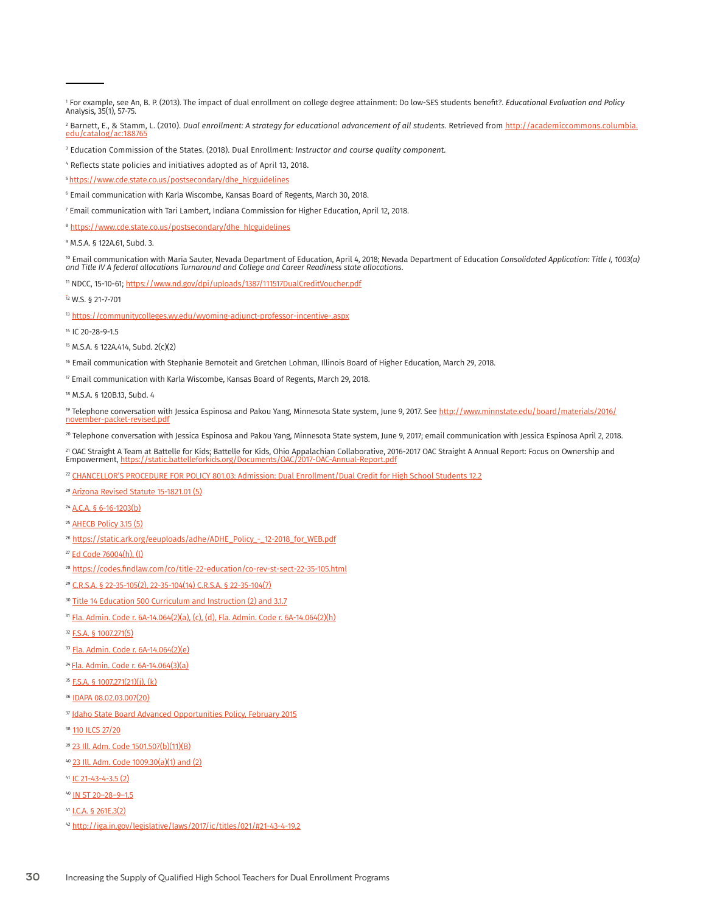4 Reflects state policies and initiatives adopted as of April 13, 2018.

5 [https://www.cde.state.co.us/postsecondary/dhe\\_hlcguidelines](https://www.cde.state.co.us/postsecondary/dhe_hlcguidelines)

- 7 Email communication with Tari Lambert, Indiana Commission for Higher Education, April 12, 2018.
- <sup>8</sup> [https://www.cde.state.co.us/postsecondary/dhe\\_hlcguidelines](https://www.cde.state.co.us/postsecondary/dhe_hlcguidelines)

9 M.S.A. § 122A.61, Subd. 3.

™ Email communication with Maria Sauter, Nevada Department of Education, April 4, 2018; Nevada Department of Education Consolidated Application: Title I, 1003(ɑ)<br>and Title IV A federal allocations Turnaround and College a

<sup>11</sup> NDCC, 15-10-61; [https://www.nd.gov/dpi/uploads/1387/111517DualCreditVoucher.pdf](https://www.nd.gov/dpi/uploads/1387/111517DualCreditVoucher.pdf )

 $\frac{1}{12}$  W.S. § 21-7-701

13 <https://communitycolleges.wy.edu/wyoming-adjunct-professor-incentive-.aspx>

14 IC 20-28-9-1.5

16 Email communication with Stephanie Bernoteit and Gretchen Lohman, Illinois Board of Higher Education, March 29, 2018.

 $\textdegree{}$  Email communication with Karla Wiscombe, Kansas Board of Regents, March 29, 2018.

18 M.S.A. § 120B.13, Subd. 4

19 Telephone conversation with Jessica Espinosa and Pakou Yang, Minnesota State system, June 9, 2017. See [http://www.minnstate.edu/board/materials/2016/](http://www.minnstate.edu/board/materials/2016/november-packet-revised.pdf) [november-packet-revised.pdf](http://www.minnstate.edu/board/materials/2016/november-packet-revised.pdf)

20 Telephone conversation with Jessica Espinosa and Pakou Yang, Minnesota State system, June 9, 2017; email communication with Jessica Espinosa April 2, 2018.

<sup>21</sup> OAC Straight A Team at Battelle for Kids; Battelle for Kids, Ohio Appalachian Collaborative, 2016-2017 OAC Straight A Annual Report: Focus on Ownership and<br>Empowerment, https://static.battelleforkids.org/Documents/OAC Empowerment, https:/

<sup>22</sup> [CHANCELLOR'S PROCEDURE FOR POLICY 801.03: Admission: Dual Enrollment/Dual Credit for High School Students 12.2](https://www.accs.cc/default/assets/File/Board/PoliciesAndProcedures/Series800/Procedure/801.03 Admission Dual Enrollment Dual Credit.pdf)

- <sup>29</sup> [Arizona Revised Statute 15-1821.01 \(5\)](https://www.azleg.gov/viewdocument/?docName=https://www.azleg.gov/ars/15/01821-01.htm)
- <sup>24</sup> [A.C.A. § 6-16-1203\(b\)](https://advance.lexis.com/documentpage/?pdmfid=1000516&crid=8ede99ee-7e63-4693-b57d-0b1ac19e0249&nodeid=AAGAACAAHAANAAE&scrollreferenceid=&config=00JAA2ZjZiM2VhNS0wNTVlLTQ3NzUtYjQzYy0yYWZmODJiODRmMDYKAFBvZENhdGFsb2fXiYCnsel0plIgqpYkw9PK&pddocfullpath=%2fshared%2fdocument%2fstatutes-legislation%2furn%3acontentItem%3a4WVD-80W0-R03M-H36G-00008-00&ecomp=-kc_kkk&prid=3eea935f-f3c0-4e9f-a9f8-7f809585ae01)
- <sup>25</sup> [AHECB Policy 3.15 \(5\)](https://static.ark.org/eeuploads/adhe/ADHE_Policy_-_12-2017_for_WEB.pdf)
- <sup>26</sup> [https://static.ark.org/eeuploads/adhe/ADHE\\_Policy\\_-\\_12-2018\\_for\\_WEB.pdf](https://static.ark.org/eeuploads/adhe/ADHE_Policy_-_12-2018_for_WEB.pdf)
- <sup>27</sup> [Ed Code 76004\(h\), \(l\)](https://leginfo.legislature.ca.gov/faces/codes_displayText.xhtml?lawCode=EDC&division=7.&title=3.&part=47.&chapter=1.&article=1.)
- <sup>28</sup> <https://codes.findlaw.com/co/title-22-education/co-rev-st-sect-22-35-105.html>
- <sup>29</sup> [C.R.S.A. § 22-35-105\(2\), 22-35-104\(14\) C.R.S.A. § 22-35-104\(7\)](http://www.lexisnexis.com/hottopics/colorado/)
- <sup>30</sup> [Title 14 Education 500 Curriculum and Instruction \(2\) and 3.1.7](http://regulations.delaware.gov/AdminCode/title14/500/506.shtml)
- <sup>31</sup> [Fla. Admin. Code r. 6A-14.064\(2\)\(a\), \(c\), \(d\), Fla. Admin. Code r. 6A-14.064\(2\)\(h\)](https://www.flrules.org/gateway/ruleNo.asp?id=6A-14.064)
- <sup>32</sup> [F.S.A. § 1007.271\(5\)](http://www.leg.state.fl.us/statutes/index.cfm?App_mode=Display_Statute&Search_String=&URL=1000-1099/1007/Sections/1007.271.html)
- 33 [Fla. Admin. Code r. 6A-14.064\(2\)\(e\)](https://www.flrules.org/gateway/ruleNo.asp?id=6A-14.064)
- 34 [Fla. Admin. Code r. 6A-14.064\(3\)\(a\)](https://www.flrules.org/gateway/ruleNo.asp?id=6A-14.064)
- <sup>35</sup> [F.S.A. § 1007.271\(21\)\(j\), \(k\)](http://www.leg.state.fl.us/statutes/index.cfm?App_mode=Display_Statute&Search_String=&URL=1000-1099/1007/Sections/1007.271.html)
- <sup>36</sup> [IDAPA 08.02.03.007\(20\)](https://adminrules.idaho.gov/rules/current/08/0203.pdf)
- <sup>37</sup> [Idaho State Board Advanced Opportunities Policy, February 2015](https://boardofed.idaho.gov/board-policies-rules/board-policies/higher-education-affairs-section-iii/iii-y-advanced-opportunities/)
- 38 [110 ILCS 27/20](http://www.ilga.gov/legislation/ilcs/ilcs3.asp?ActID=3117&ChapterID=18)
- <sup>39</sup> [23 Ill. Adm. Code 1501.507\(b\)\(11\)\(B\)](ftp://www.ilga.gov/JCAR/AdminCode/023/023015010E05070R.html)
- <sup>40</sup> [23 Ill. Adm. Code 1009.30\(a\)\(1\) and \(2\)](ftp://www.ilga.gov/JCAR/AdminCode/023/023010090000300R.html)
- <sup>41</sup> [IC 21-43-4-3.5 \(2\)](https://iga.in.gov/legislative/laws/2017/ic/titles/021#21-43-4-3.5)
- <sup>40</sup> [IN ST 20–28–9–1.5](http://iga.in.gov/legislative/laws/2017/ic/titles/020#20-28)
- <sup>41</sup> [I.C.A. § 261E.3\(2\)](https://www.legis.iowa.gov/docs/code/2018/261E.3.pdf)
- <sup>42</sup> <http://iga.in.gov/legislative/laws/2017/ic/titles/021/#21-43-4-19.2>

<sup>1</sup> For example, see An, B. P. (2013). The impact of dual enrollment on college degree attainment: Do low-SES students benefit?. *Educational Evaluation and Policy*  Analysis, 35(1), 57-75.

<sup>&</sup>lt;sup>2</sup> Barnett, E., & Stamm, L. (2010). *Dual enrollment: A strategy for educational advancement of all students*. Retrieved from <u>http://academiccommons.columbia.</u> edu/catalog/ac:1887

<sup>3</sup> Education Commission of the States. (2018). Dual Enrollment: *Instructor and course quality component.* 

 $^{\rm 6}$  Email communication with Karla Wiscombe, Kansas Board of Regents, March 30, 2018.

<sup>15</sup> M.S.A. § 122A.414, Subd. 2(c)(2)